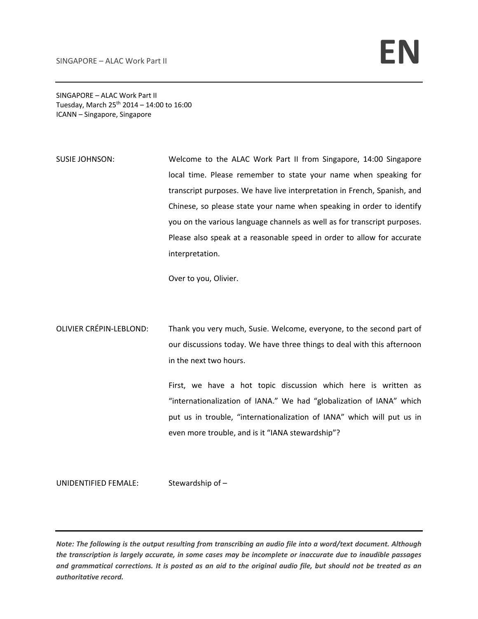SINGAPORE – ALAC Work Part II Tuesday, March  $25^{th}$  2014 – 14:00 to 16:00 ICANN – Singapore, Singapore

SUSIE JOHNSON: Welcome to the ALAC Work Part II from Singapore, 14:00 Singapore local time. Please remember to state your name when speaking for transcript purposes. We have live interpretation in French, Spanish, and Chinese, so please state your name when speaking in order to identify you on the various language channels as well as for transcript purposes. Please also speak at a reasonable speed in order to allow for accurate interpretation.

Over to you, Olivier.

OLIVIER CRÉPIN‐LEBLOND: Thank you very much, Susie. Welcome, everyone, to the second part of our discussions today. We have three things to deal with this afternoon in the next two hours.

> First, we have a hot topic discussion which here is written as "internationalization of IANA." We had "globalization of IANA" which put us in trouble, "internationalization of IANA" which will put us in even more trouble, and is it "IANA stewardship"?

UNIDENTIFIED FEMALE: Stewardship of -

Note: The following is the output resulting from transcribing an audio file into a word/text document. Although the transcription is largely accurate, in some cases may be incomplete or inaccurate due to inaudible passages and grammatical corrections. It is posted as an aid to the original audio file, but should not be treated as an *authoritative record.*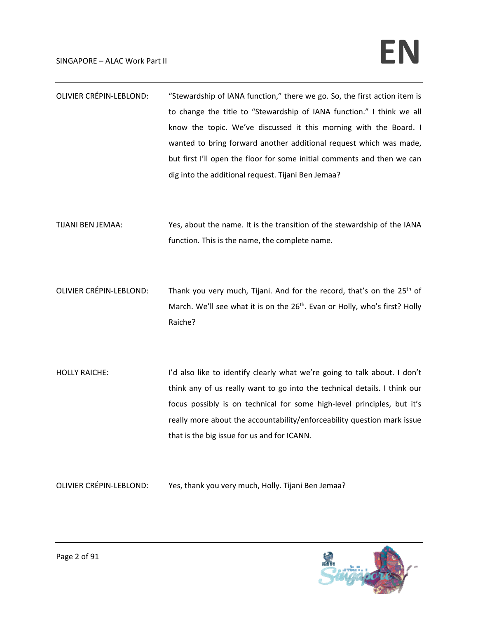| <b>OLIVIER CRÉPIN-LEBLOND:</b> | "Stewardship of IANA function," there we go. So, the first action item is |
|--------------------------------|---------------------------------------------------------------------------|
|                                | to change the title to "Stewardship of IANA function." I think we all     |
|                                | know the topic. We've discussed it this morning with the Board. I         |
|                                | wanted to bring forward another additional request which was made,        |
|                                | but first I'll open the floor for some initial comments and then we can   |
|                                | dig into the additional request. Tijani Ben Jemaa?                        |
|                                |                                                                           |
|                                |                                                                           |
| TIJANI BEN JEMAA:              | Yes, about the name. It is the transition of the stewardship of the IANA  |
|                                | function. This is the name, the complete name.                            |
|                                |                                                                           |

- OLIVIER CRÉPIN-LEBLOND: Thank you very much, Tijani. And for the record, that's on the 25<sup>th</sup> of March. We'll see what it is on the 26<sup>th</sup>. Evan or Holly, who's first? Holly Raiche?
- HOLLY RAICHE: I'd also like to identify clearly what we're going to talk about. I don't think any of us really want to go into the technical details. I think our focus possibly is on technical for some high‐level principles, but it's really more about the accountability/enforceability question mark issue that is the big issue for us and for ICANN.

OLIVIER CRÉPIN‐LEBLOND: Yes, thank you very much, Holly. Tijani Ben Jemaa?

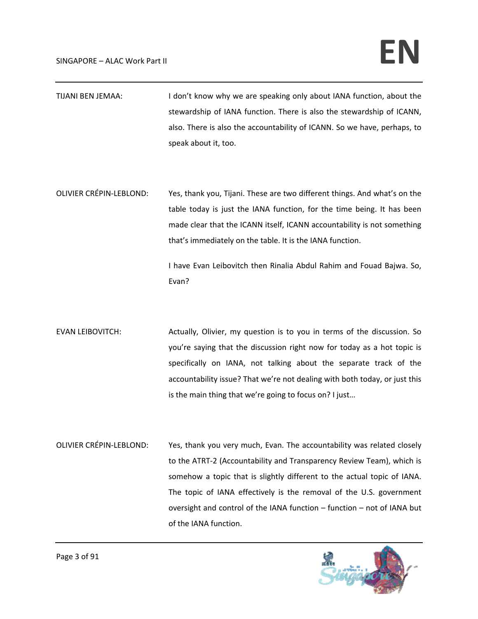## $SINGAPORE - ALAC Work Part II$

- TIJANI BEN JEMAA: I don't know why we are speaking only about IANA function, about the stewardship of IANA function. There is also the stewardship of ICANN, also. There is also the accountability of ICANN. So we have, perhaps, to speak about it, too.
- OLIVIER CRÉPIN‐LEBLOND: Yes, thank you, Tijani. These are two different things. And what's on the table today is just the IANA function, for the time being. It has been made clear that the ICANN itself, ICANN accountability is not something that's immediately on the table. It is the IANA function.

I have Evan Leibovitch then Rinalia Abdul Rahim and Fouad Bajwa. So, Evan?

- EVAN LEIBOVITCH: Actually, Olivier, my question is to you in terms of the discussion. So you're saying that the discussion right now for today as a hot topic is specifically on IANA, not talking about the separate track of the accountability issue? That we're not dealing with both today, or just this is the main thing that we're going to focus on? I just…
- OLIVIER CRÉPIN‐LEBLOND: Yes, thank you very much, Evan. The accountability was related closely to the ATRT‐2 (Accountability and Transparency Review Team), which is somehow a topic that is slightly different to the actual topic of IANA. The topic of IANA effectively is the removal of the U.S. government oversight and control of the IANA function – function – not of IANA but of the IANA function.

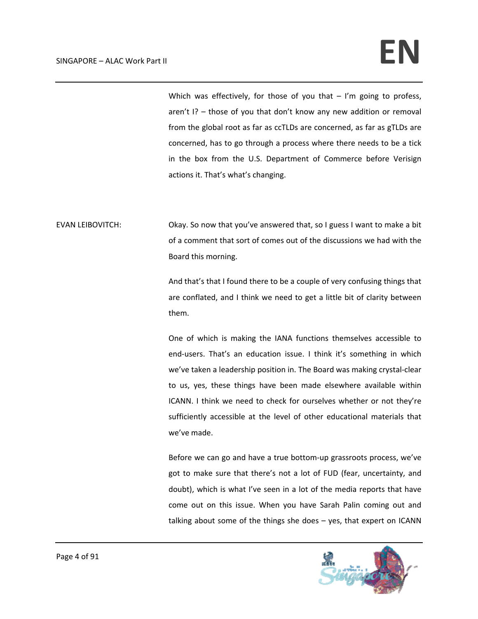Which was effectively, for those of you that  $-$  I'm going to profess, aren't I? – those of you that don't know any new addition or removal from the global root as far as ccTLDs are concerned, as far as gTLDs are concerned, has to go through a process where there needs to be a tick in the box from the U.S. Department of Commerce before Verisign actions it. That's what's changing.

EVAN LEIBOVITCH: Okay. So now that you've answered that, so I guess I want to make a bit of a comment that sort of comes out of the discussions we had with the Board this morning.

> And that's that I found there to be a couple of very confusing things that are conflated, and I think we need to get a little bit of clarity between them.

> One of which is making the IANA functions themselves accessible to end-users. That's an education issue. I think it's something in which we've taken a leadership position in. The Board was making crystal‐clear to us, yes, these things have been made elsewhere available within ICANN. I think we need to check for ourselves whether or not they're sufficiently accessible at the level of other educational materials that we've made.

> Before we can go and have a true bottom‐up grassroots process, we've got to make sure that there's not a lot of FUD (fear, uncertainty, and doubt), which is what I've seen in a lot of the media reports that have come out on this issue. When you have Sarah Palin coming out and talking about some of the things she does – yes, that expert on ICANN

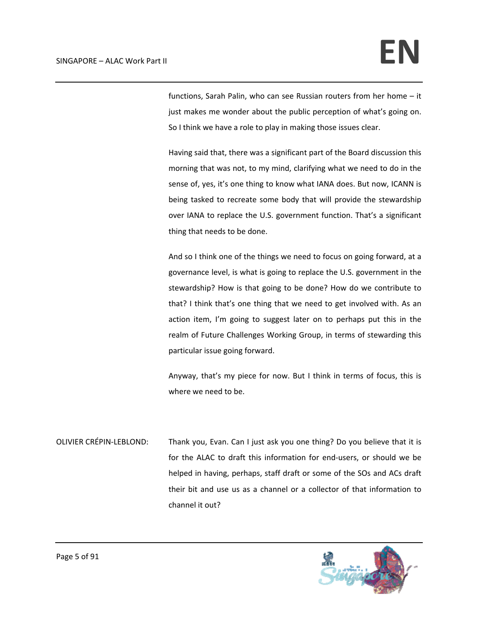functions, Sarah Palin, who can see Russian routers from her home – it just makes me wonder about the public perception of what's going on. So I think we have a role to play in making those issues clear.

Having said that, there was a significant part of the Board discussion this morning that was not, to my mind, clarifying what we need to do in the sense of, yes, it's one thing to know what IANA does. But now, ICANN is being tasked to recreate some body that will provide the stewardship over IANA to replace the U.S. government function. That's a significant thing that needs to be done.

And so I think one of the things we need to focus on going forward, at a governance level, is what is going to replace the U.S. government in the stewardship? How is that going to be done? How do we contribute to that? I think that's one thing that we need to get involved with. As an action item, I'm going to suggest later on to perhaps put this in the realm of Future Challenges Working Group, in terms of stewarding this particular issue going forward.

Anyway, that's my piece for now. But I think in terms of focus, this is where we need to be.

OLIVIER CRÉPIN‐LEBLOND: Thank you, Evan. Can I just ask you one thing? Do you believe that it is for the ALAC to draft this information for end‐users, or should we be helped in having, perhaps, staff draft or some of the SOs and ACs draft their bit and use us as a channel or a collector of that information to channel it out?

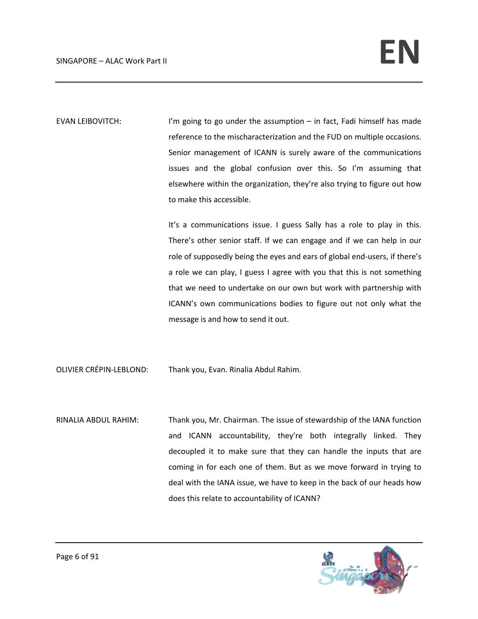EVAN LEIBOVITCH: I'm going to go under the assumption – in fact, Fadi himself has made reference to the mischaracterization and the FUD on multiple occasions. Senior management of ICANN is surely aware of the communications issues and the global confusion over this. So I'm assuming that elsewhere within the organization, they're also trying to figure out how to make this accessible.

> It's a communications issue. I guess Sally has a role to play in this. There's other senior staff. If we can engage and if we can help in our role of supposedly being the eyes and ears of global end‐users, if there's a role we can play, I guess I agree with you that this is not something that we need to undertake on our own but work with partnership with ICANN's own communications bodies to figure out not only what the message is and how to send it out.

OLIVIER CRÉPIN‐LEBLOND: Thank you, Evan. Rinalia Abdul Rahim.

RINALIA ABDUL RAHIM: Thank you, Mr. Chairman. The issue of stewardship of the IANA function and ICANN accountability, they're both integrally linked. They decoupled it to make sure that they can handle the inputs that are coming in for each one of them. But as we move forward in trying to deal with the IANA issue, we have to keep in the back of our heads how does this relate to accountability of ICANN?

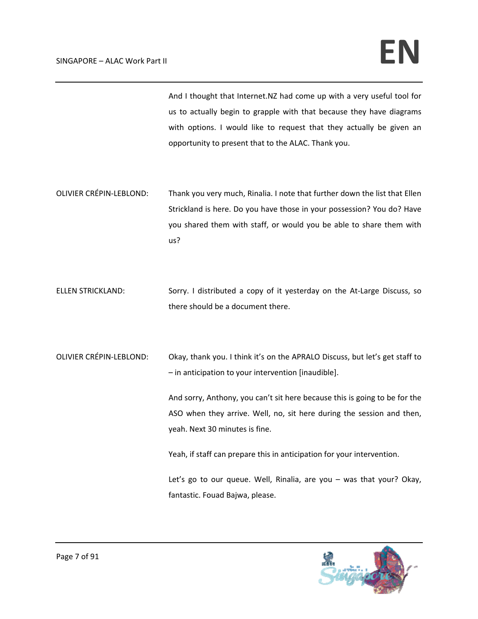And I thought that Internet.NZ had come up with a very useful tool for us to actually begin to grapple with that because they have diagrams with options. I would like to request that they actually be given an opportunity to present that to the ALAC. Thank you.

- OLIVIER CRÉPIN‐LEBLOND: Thank you very much, Rinalia. I note that further down the list that Ellen Strickland is here. Do you have those in your possession? You do? Have you shared them with staff, or would you be able to share them with us?
- ELLEN STRICKLAND: Sorry. I distributed a copy of it yesterday on the At-Large Discuss, so there should be a document there.
- OLIVIER CRÉPIN‐LEBLOND: Okay, thank you. I think it's on the APRALO Discuss, but let's get staff to – in anticipation to your intervention [inaudible].

And sorry, Anthony, you can't sit here because this is going to be for the ASO when they arrive. Well, no, sit here during the session and then, yeah. Next 30 minutes is fine.

Yeah, if staff can prepare this in anticipation for your intervention.

Let's go to our queue. Well, Rinalia, are you – was that your? Okay, fantastic. Fouad Bajwa, please.

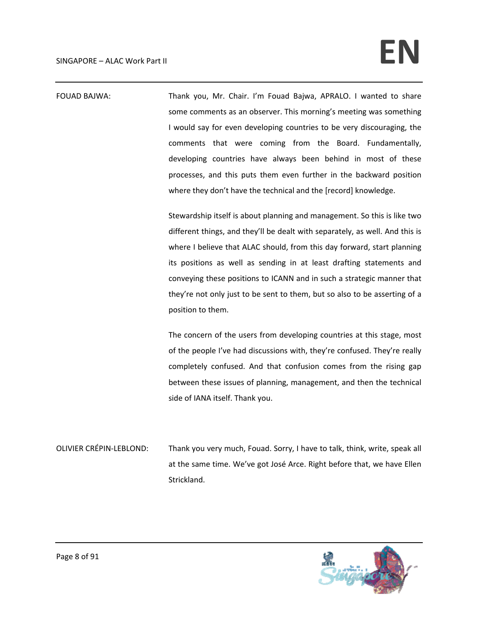FOUAD BAJWA: Thank you, Mr. Chair. I'm Fouad Bajwa, APRALO. I wanted to share some comments as an observer. This morning's meeting was something I would say for even developing countries to be very discouraging, the comments that were coming from the Board. Fundamentally, developing countries have always been behind in most of these processes, and this puts them even further in the backward position where they don't have the technical and the [record] knowledge. Stewardship itself is about planning and management. So this is like two different things, and they'll be dealt with separately, as well. And this is where I believe that ALAC should, from this day forward, start planning its positions as well as sending in at least drafting statements and conveying these positions to ICANN and in such a strategic manner that they're not only just to be sent to them, but so also to be asserting of a position to them. The concern of the users from developing countries at this stage, most of the people I've had discussions with, they're confused. They're really completely confused. And that confusion comes from the rising gap between these issues of planning, management, and then the technical side of IANA itself. Thank you.

OLIVIER CRÉPIN‐LEBLOND: Thank you very much, Fouad. Sorry, I have to talk, think, write, speak all at the same time. We've got José Arce. Right before that, we have Ellen Strickland.

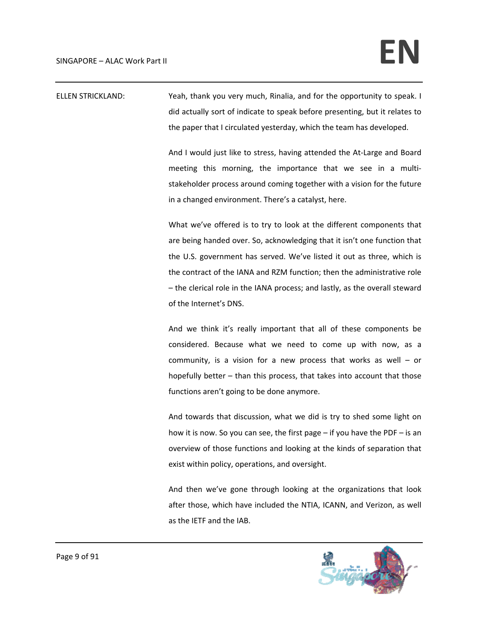ELLEN STRICKLAND: Yeah, thank you very much, Rinalia, and for the opportunity to speak. I did actually sort of indicate to speak before presenting, but it relates to the paper that I circulated yesterday, which the team has developed.

> And I would just like to stress, having attended the At‐Large and Board meeting this morning, the importance that we see in a multistakeholder process around coming together with a vision for the future in a changed environment. There's a catalyst, here.

> What we've offered is to try to look at the different components that are being handed over. So, acknowledging that it isn't one function that the U.S. government has served. We've listed it out as three, which is the contract of the IANA and RZM function; then the administrative role – the clerical role in the IANA process; and lastly, as the overall steward of the Internet's DNS.

> And we think it's really important that all of these components be considered. Because what we need to come up with now, as a community, is a vision for a new process that works as well – or hopefully better – than this process, that takes into account that those functions aren't going to be done anymore.

> And towards that discussion, what we did is try to shed some light on how it is now. So you can see, the first page – if you have the PDF – is an overview of those functions and looking at the kinds of separation that exist within policy, operations, and oversight.

> And then we've gone through looking at the organizations that look after those, which have included the NTIA, ICANN, and Verizon, as well as the IETF and the IAB.

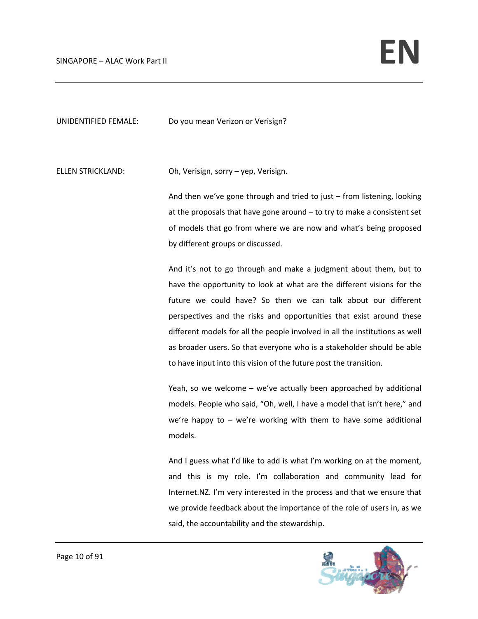UNIDENTIFIED FEMALE: Do you mean Verizon or Verisign?

ELLEN STRICKLAND: Oh, Verisign, sorry – yep, Verisign.

And then we've gone through and tried to just – from listening, looking at the proposals that have gone around – to try to make a consistent set of models that go from where we are now and what's being proposed by different groups or discussed.

And it's not to go through and make a judgment about them, but to have the opportunity to look at what are the different visions for the future we could have? So then we can talk about our different perspectives and the risks and opportunities that exist around these different models for all the people involved in all the institutions as well as broader users. So that everyone who is a stakeholder should be able to have input into this vision of the future post the transition.

Yeah, so we welcome – we've actually been approached by additional models. People who said, "Oh, well, I have a model that isn't here," and we're happy to  $-$  we're working with them to have some additional models.

And I guess what I'd like to add is what I'm working on at the moment, and this is my role. I'm collaboration and community lead for Internet.NZ. I'm very interested in the process and that we ensure that we provide feedback about the importance of the role of users in, as we said, the accountability and the stewardship.

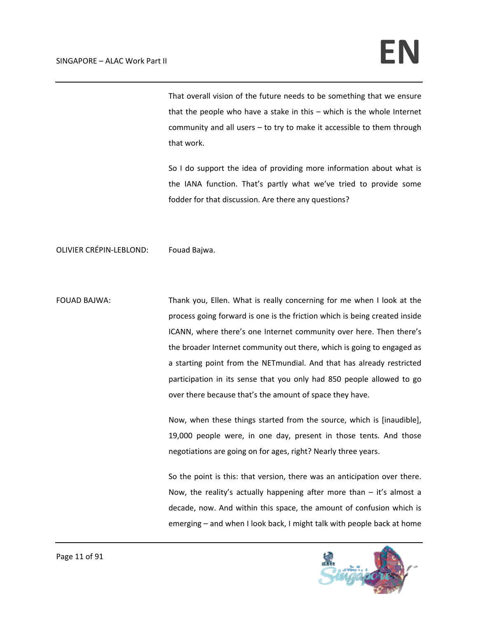That overall vision of the future needs to be something that we ensure that the people who have a stake in this – which is the whole Internet community and all users – to try to make it accessible to them through that work.

So I do support the idea of providing more information about what is the IANA function. That's partly what we've tried to provide some fodder for that discussion. Are there any questions?

## OLIVIER CRÉPIN‐LEBLOND: Fouad Bajwa.

FOUAD BAJWA: Thank you, Ellen. What is really concerning for me when I look at the process going forward is one is the friction which is being created inside ICANN, where there's one Internet community over here. Then there's the broader Internet community out there, which is going to engaged as a starting point from the NETmundial. And that has already restricted participation in its sense that you only had 850 people allowed to go over there because that's the amount of space they have.

> Now, when these things started from the source, which is [inaudible], 19,000 people were, in one day, present in those tents. And those negotiations are going on for ages, right? Nearly three years.

> So the point is this: that version, there was an anticipation over there. Now, the reality's actually happening after more than  $-$  it's almost a decade, now. And within this space, the amount of confusion which is emerging – and when I look back, I might talk with people back at home

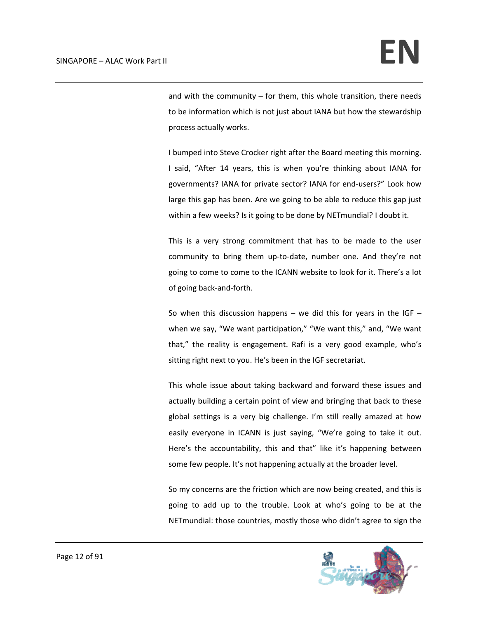and with the community  $-$  for them, this whole transition, there needs to be information which is not just about IANA but how the stewardship process actually works.

I bumped into Steve Crocker right after the Board meeting this morning. I said, "After 14 years, this is when you're thinking about IANA for governments? IANA for private sector? IANA for end‐users?" Look how large this gap has been. Are we going to be able to reduce this gap just within a few weeks? Is it going to be done by NETmundial? I doubt it.

This is a very strong commitment that has to be made to the user community to bring them up‐to‐date, number one. And they're not going to come to come to the ICANN website to look for it. There's a lot of going back‐and‐forth.

So when this discussion happens – we did this for years in the IGF  $$ when we say, "We want participation," "We want this," and, "We want that," the reality is engagement. Rafi is a very good example, who's sitting right next to you. He's been in the IGF secretariat.

This whole issue about taking backward and forward these issues and actually building a certain point of view and bringing that back to these global settings is a very big challenge. I'm still really amazed at how easily everyone in ICANN is just saying, "We're going to take it out. Here's the accountability, this and that" like it's happening between some few people. It's not happening actually at the broader level.

So my concerns are the friction which are now being created, and this is going to add up to the trouble. Look at who's going to be at the NETmundial: those countries, mostly those who didn't agree to sign the

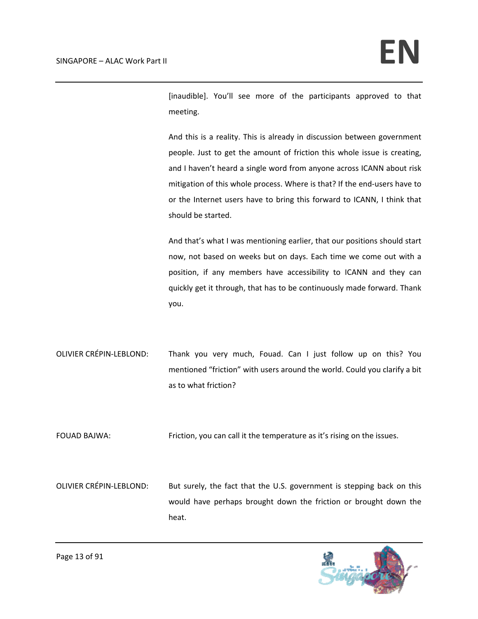[inaudible]. You'll see more of the participants approved to that meeting.

And this is a reality. This is already in discussion between government people. Just to get the amount of friction this whole issue is creating, and I haven't heard a single word from anyone across ICANN about risk mitigation of this whole process. Where is that? If the end-users have to or the Internet users have to bring this forward to ICANN, I think that should be started.

And that's what I was mentioning earlier, that our positions should start now, not based on weeks but on days. Each time we come out with a position, if any members have accessibility to ICANN and they can quickly get it through, that has to be continuously made forward. Thank you.

OLIVIER CRÉPIN‐LEBLOND: Thank you very much, Fouad. Can I just follow up on this? You mentioned "friction" with users around the world. Could you clarify a bit as to what friction?

FOUAD BAJWA: Friction, you can call it the temperature as it's rising on the issues.

OLIVIER CRÉPIN-LEBLOND: But surely, the fact that the U.S. government is stepping back on this would have perhaps brought down the friction or brought down the heat.

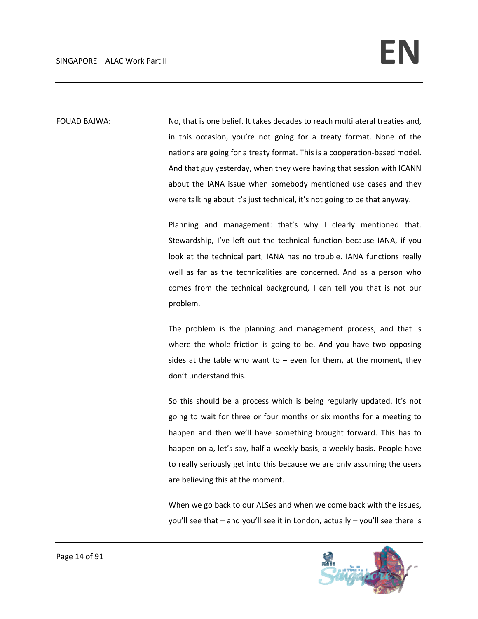FOUAD BAJWA: No, that is one belief. It takes decades to reach multilateral treaties and, in this occasion, you're not going for a treaty format. None of the nations are going for a treaty format. This is a cooperation‐based model. And that guy yesterday, when they were having that session with ICANN about the IANA issue when somebody mentioned use cases and they were talking about it's just technical, it's not going to be that anyway.

> Planning and management: that's why I clearly mentioned that. Stewardship, I've left out the technical function because IANA, if you look at the technical part, IANA has no trouble. IANA functions really well as far as the technicalities are concerned. And as a person who comes from the technical background, I can tell you that is not our problem.

> The problem is the planning and management process, and that is where the whole friction is going to be. And you have two opposing sides at the table who want to  $-$  even for them, at the moment, they don't understand this.

> So this should be a process which is being regularly updated. It's not going to wait for three or four months or six months for a meeting to happen and then we'll have something brought forward. This has to happen on a, let's say, half-a-weekly basis, a weekly basis. People have to really seriously get into this because we are only assuming the users are believing this at the moment.

> When we go back to our ALSes and when we come back with the issues, you'll see that – and you'll see it in London, actually – you'll see there is

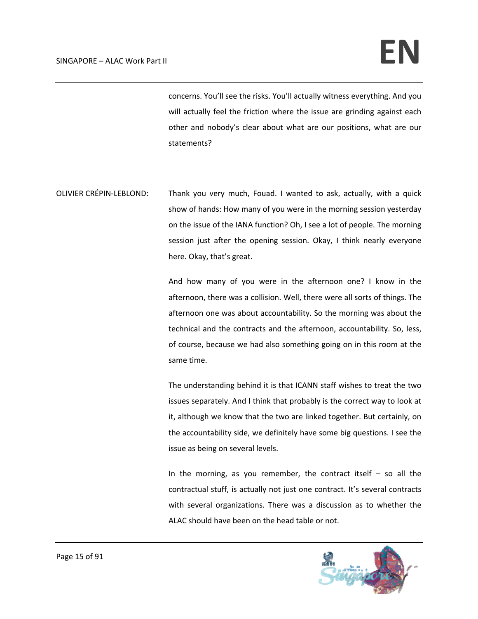concerns. You'll see the risks. You'll actually witness everything. And you will actually feel the friction where the issue are grinding against each other and nobody's clear about what are our positions, what are our statements?

OLIVIER CRÉPIN‐LEBLOND: Thank you very much, Fouad. I wanted to ask, actually, with a quick show of hands: How many of you were in the morning session yesterday on the issue of the IANA function? Oh, I see a lot of people. The morning session just after the opening session. Okay, I think nearly everyone here. Okay, that's great.

> And how many of you were in the afternoon one? I know in the afternoon, there was a collision. Well, there were all sorts of things. The afternoon one was about accountability. So the morning was about the technical and the contracts and the afternoon, accountability. So, less, of course, because we had also something going on in this room at the same time.

> The understanding behind it is that ICANN staff wishes to treat the two issues separately. And I think that probably is the correct way to look at it, although we know that the two are linked together. But certainly, on the accountability side, we definitely have some big questions. I see the issue as being on several levels.

> In the morning, as you remember, the contract itself  $-$  so all the contractual stuff, is actually not just one contract. It's several contracts with several organizations. There was a discussion as to whether the ALAC should have been on the head table or not.

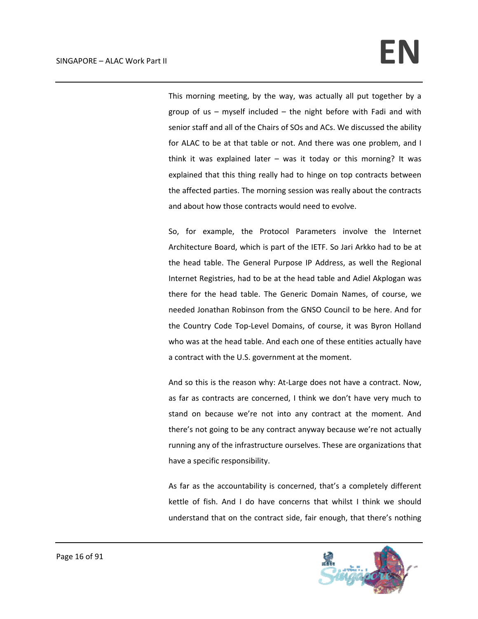This morning meeting, by the way, was actually all put together by a group of us  $-$  myself included  $-$  the night before with Fadi and with senior staff and all of the Chairs of SOs and ACs. We discussed the ability for ALAC to be at that table or not. And there was one problem, and I think it was explained later  $-$  was it today or this morning? It was explained that this thing really had to hinge on top contracts between the affected parties. The morning session was really about the contracts and about how those contracts would need to evolve.

So, for example, the Protocol Parameters involve the Internet Architecture Board, which is part of the IETF. So Jari Arkko had to be at the head table. The General Purpose IP Address, as well the Regional Internet Registries, had to be at the head table and Adiel Akplogan was there for the head table. The Generic Domain Names, of course, we needed Jonathan Robinson from the GNSO Council to be here. And for the Country Code Top‐Level Domains, of course, it was Byron Holland who was at the head table. And each one of these entities actually have a contract with the U.S. government at the moment.

And so this is the reason why: At‐Large does not have a contract. Now, as far as contracts are concerned, I think we don't have very much to stand on because we're not into any contract at the moment. And there's not going to be any contract anyway because we're not actually running any of the infrastructure ourselves. These are organizations that have a specific responsibility.

As far as the accountability is concerned, that's a completely different kettle of fish. And I do have concerns that whilst I think we should understand that on the contract side, fair enough, that there's nothing

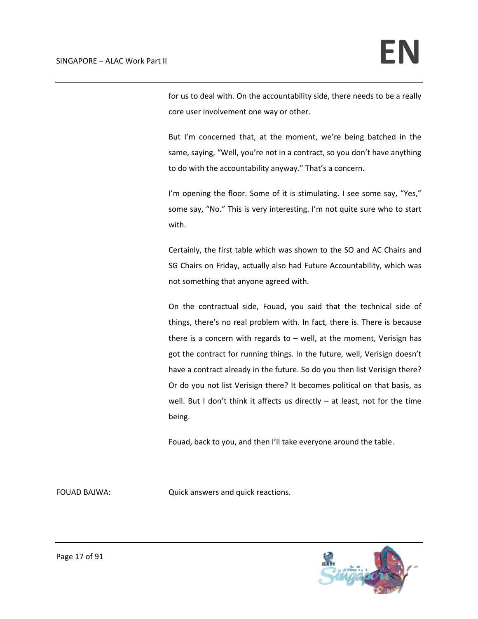for us to deal with. On the accountability side, there needs to be a really core user involvement one way or other.

But I'm concerned that, at the moment, we're being batched in the same, saying, "Well, you're not in a contract, so you don't have anything to do with the accountability anyway." That's a concern.

I'm opening the floor. Some of it is stimulating. I see some say, "Yes," some say, "No." This is very interesting. I'm not quite sure who to start with.

Certainly, the first table which was shown to the SO and AC Chairs and SG Chairs on Friday, actually also had Future Accountability, which was not something that anyone agreed with.

On the contractual side, Fouad, you said that the technical side of things, there's no real problem with. In fact, there is. There is because there is a concern with regards to  $-$  well, at the moment, Verisign has got the contract for running things. In the future, well, Verisign doesn't have a contract already in the future. So do you then list Verisign there? Or do you not list Verisign there? It becomes political on that basis, as well. But I don't think it affects us directly - at least, not for the time being.

Fouad, back to you, and then I'll take everyone around the table.

FOUAD BAJWA: Quick answers and quick reactions.

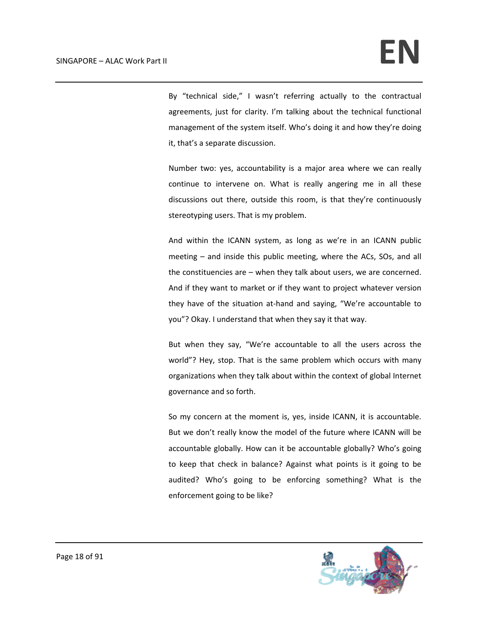By "technical side," I wasn't referring actually to the contractual agreements, just for clarity. I'm talking about the technical functional management of the system itself. Who's doing it and how they're doing it, that's a separate discussion.

Number two: yes, accountability is a major area where we can really continue to intervene on. What is really angering me in all these discussions out there, outside this room, is that they're continuously stereotyping users. That is my problem.

And within the ICANN system, as long as we're in an ICANN public meeting – and inside this public meeting, where the ACs, SOs, and all the constituencies are – when they talk about users, we are concerned. And if they want to market or if they want to project whatever version they have of the situation at‐hand and saying, "We're accountable to you"? Okay. I understand that when they say it that way.

But when they say, "We're accountable to all the users across the world"? Hey, stop. That is the same problem which occurs with many organizations when they talk about within the context of global Internet governance and so forth.

So my concern at the moment is, yes, inside ICANN, it is accountable. But we don't really know the model of the future where ICANN will be accountable globally. How can it be accountable globally? Who's going to keep that check in balance? Against what points is it going to be audited? Who's going to be enforcing something? What is the enforcement going to be like?

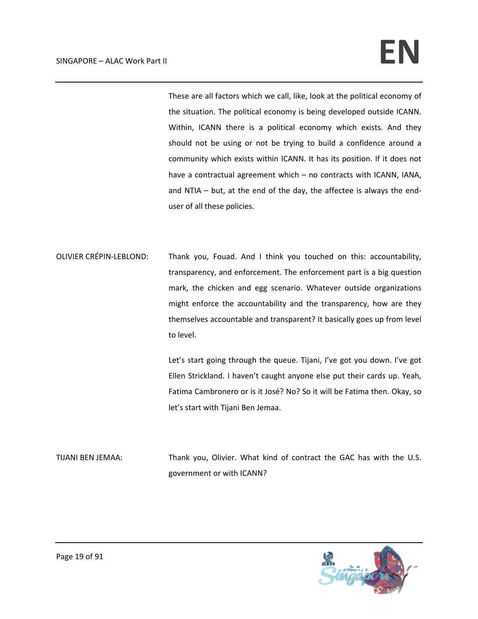These are all factors which we call, like, look at the political economy of the situation. The political economy is being developed outside ICANN. Within, ICANN there is a political economy which exists. And they should not be using or not be trying to build a confidence around a community which exists within ICANN. It has its position. If it does not have a contractual agreement which – no contracts with ICANN, IANA, and NTIA – but, at the end of the day, the affectee is always the end‐ user of all these policies.

OLIVIER CRÉPIN‐LEBLOND: Thank you, Fouad. And I think you touched on this: accountability, transparency, and enforcement. The enforcement part is a big question mark, the chicken and egg scenario. Whatever outside organizations might enforce the accountability and the transparency, how are they themselves accountable and transparent? It basically goes up from level to level.

> Let's start going through the queue. Tijani, I've got you down. I've got Ellen Strickland. I haven't caught anyone else put their cards up. Yeah, Fatima Cambronero or is it José? No? So it will be Fatima then. Okay, so let's start with Tijani Ben Jemaa.

TIJANI BEN JEMAA: Thank you, Olivier. What kind of contract the GAC has with the U.S. government or with ICANN?

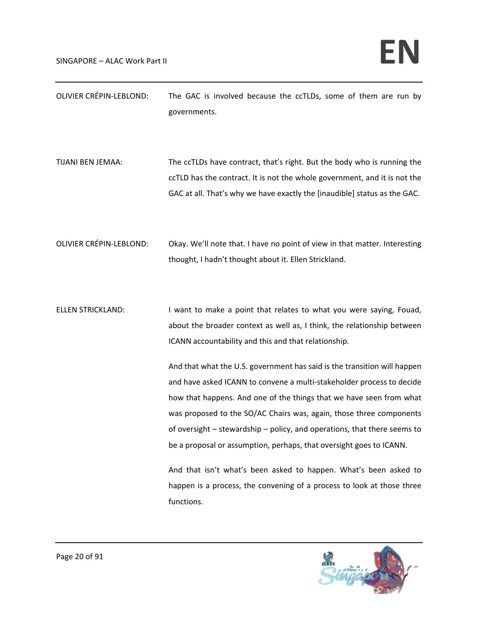| OLIVIER CRÉPIN-LEBLOND:        | The GAC is involved because the ccTLDs, some of them are run by<br>governments.                                                                                                                                                                                                    |
|--------------------------------|------------------------------------------------------------------------------------------------------------------------------------------------------------------------------------------------------------------------------------------------------------------------------------|
| TIJANI BEN JEMAA:              | The ccTLDs have contract, that's right. But the body who is running the<br>ccTLD has the contract. It is not the whole government, and it is not the<br>GAC at all. That's why we have exactly the [inaudible] status as the GAC.                                                  |
| <b>OLIVIER CRÉPIN-LEBLOND:</b> | Okay. We'll note that. I have no point of view in that matter. Interesting<br>thought, I hadn't thought about it. Ellen Strickland.                                                                                                                                                |
| <b>ELLEN STRICKLAND:</b>       | I want to make a point that relates to what you were saying, Fouad,<br>about the broader context as well as, I think, the relationship between<br>ICANN accountability and this and that relationship.<br>And that what the LLS, government has said is the transition will hannen |

And that what the U.S. government has said is the transition will happen and have asked ICANN to convene a multi‐stakeholder process to decide how that happens. And one of the things that we have seen from what was proposed to the SO/AC Chairs was, again, those three components of oversight – stewardship – policy, and operations, that there seems to be a proposal or assumption, perhaps, that oversight goes to ICANN.

And that isn't what's been asked to happen. What's been asked to happen is a process, the convening of a process to look at those three functions.

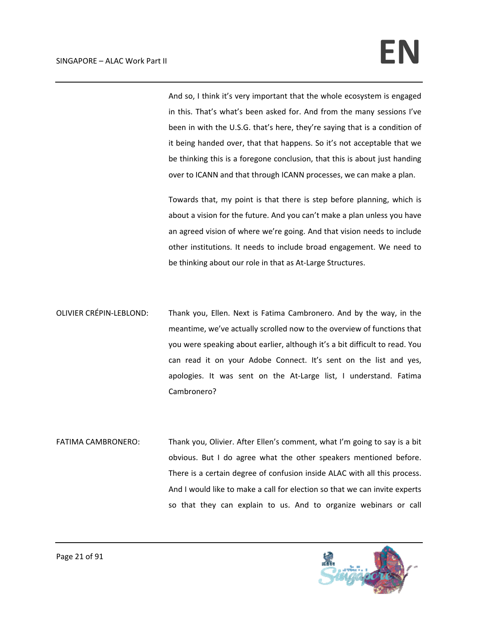And so, I think it's very important that the whole ecosystem is engaged in this. That's what's been asked for. And from the many sessions I've been in with the U.S.G. that's here, they're saying that is a condition of it being handed over, that that happens. So it's not acceptable that we be thinking this is a foregone conclusion, that this is about just handing over to ICANN and that through ICANN processes, we can make a plan.

Towards that, my point is that there is step before planning, which is about a vision for the future. And you can't make a plan unless you have an agreed vision of where we're going. And that vision needs to include other institutions. It needs to include broad engagement. We need to be thinking about our role in that as At-Large Structures.

- OLIVIER CRÉPIN‐LEBLOND: Thank you, Ellen. Next is Fatima Cambronero. And by the way, in the meantime, we've actually scrolled now to the overview of functions that you were speaking about earlier, although it's a bit difficult to read. You can read it on your Adobe Connect. It's sent on the list and yes, apologies. It was sent on the At-Large list, I understand. Fatima Cambronero?
- FATIMA CAMBRONERO: Thank you, Olivier. After Ellen's comment, what I'm going to say is a bit obvious. But I do agree what the other speakers mentioned before. There is a certain degree of confusion inside ALAC with all this process. And I would like to make a call for election so that we can invite experts so that they can explain to us. And to organize webinars or call

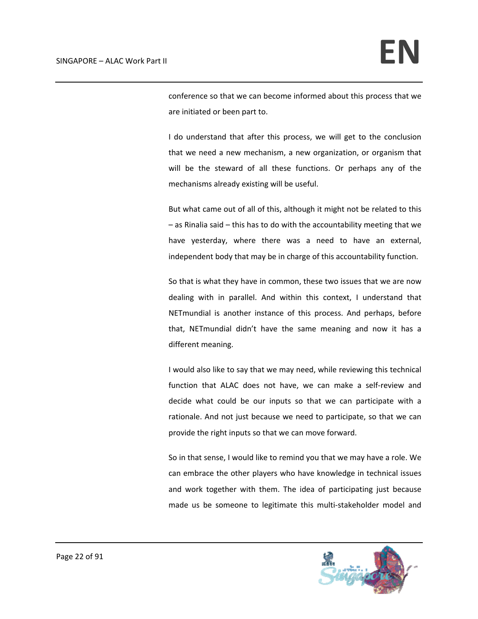conference so that we can become informed about this process that we are initiated or been part to.

I do understand that after this process, we will get to the conclusion that we need a new mechanism, a new organization, or organism that will be the steward of all these functions. Or perhaps any of the mechanisms already existing will be useful.

But what came out of all of this, although it might not be related to this – as Rinalia said – this has to do with the accountability meeting that we have yesterday, where there was a need to have an external, independent body that may be in charge of this accountability function.

So that is what they have in common, these two issues that we are now dealing with in parallel. And within this context, I understand that NETmundial is another instance of this process. And perhaps, before that, NETmundial didn't have the same meaning and now it has a different meaning.

I would also like to say that we may need, while reviewing this technical function that ALAC does not have, we can make a self-review and decide what could be our inputs so that we can participate with a rationale. And not just because we need to participate, so that we can provide the right inputs so that we can move forward.

So in that sense, I would like to remind you that we may have a role. We can embrace the other players who have knowledge in technical issues and work together with them. The idea of participating just because made us be someone to legitimate this multi‐stakeholder model and

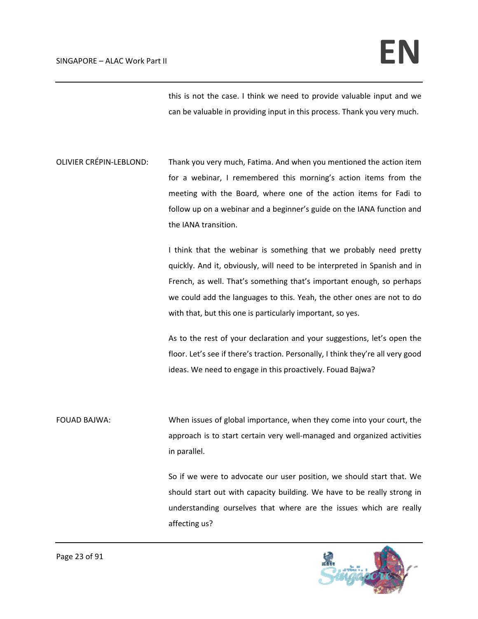this is not the case. I think we need to provide valuable input and we can be valuable in providing input in this process. Thank you very much.

OLIVIER CRÉPIN‐LEBLOND: Thank you very much, Fatima. And when you mentioned the action item for a webinar, I remembered this morning's action items from the meeting with the Board, where one of the action items for Fadi to follow up on a webinar and a beginner's guide on the IANA function and the IANA transition.

> I think that the webinar is something that we probably need pretty quickly. And it, obviously, will need to be interpreted in Spanish and in French, as well. That's something that's important enough, so perhaps we could add the languages to this. Yeah, the other ones are not to do with that, but this one is particularly important, so yes.

> As to the rest of your declaration and your suggestions, let's open the floor. Let's see if there's traction. Personally, I think they're all very good ideas. We need to engage in this proactively. Fouad Bajwa?

FOUAD BAJWA: When issues of global importance, when they come into your court, the approach is to start certain very well‐managed and organized activities in parallel.

> So if we were to advocate our user position, we should start that. We should start out with capacity building. We have to be really strong in understanding ourselves that where are the issues which are really affecting us?

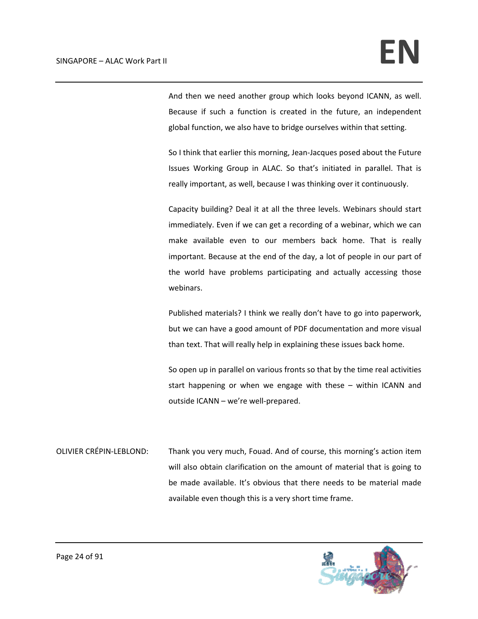And then we need another group which looks beyond ICANN, as well. Because if such a function is created in the future, an independent global function, we also have to bridge ourselves within that setting.

So I think that earlier this morning, Jean‐Jacques posed about the Future Issues Working Group in ALAC. So that's initiated in parallel. That is really important, as well, because I was thinking over it continuously.

Capacity building? Deal it at all the three levels. Webinars should start immediately. Even if we can get a recording of a webinar, which we can make available even to our members back home. That is really important. Because at the end of the day, a lot of people in our part of the world have problems participating and actually accessing those webinars.

Published materials? I think we really don't have to go into paperwork, but we can have a good amount of PDF documentation and more visual than text. That will really help in explaining these issues back home.

So open up in parallel on various fronts so that by the time real activities start happening or when we engage with these – within ICANN and outside ICANN – we're well‐prepared.

OLIVIER CRÉPIN‐LEBLOND: Thank you very much, Fouad. And of course, this morning's action item will also obtain clarification on the amount of material that is going to be made available. It's obvious that there needs to be material made available even though this is a very short time frame.

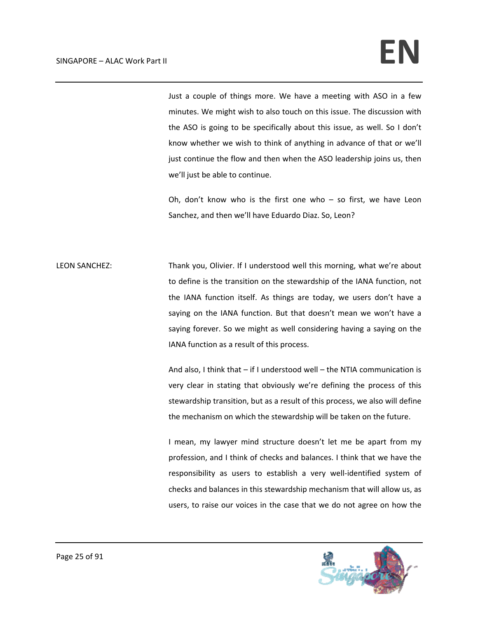Just a couple of things more. We have a meeting with ASO in a few minutes. We might wish to also touch on this issue. The discussion with the ASO is going to be specifically about this issue, as well. So I don't know whether we wish to think of anything in advance of that or we'll just continue the flow and then when the ASO leadership joins us, then we'll just be able to continue.

Oh, don't know who is the first one who  $-$  so first, we have Leon Sanchez, and then we'll have Eduardo Diaz. So, Leon?

LEON SANCHEZ: Thank you, Olivier. If I understood well this morning, what we're about to define is the transition on the stewardship of the IANA function, not the IANA function itself. As things are today, we users don't have a saying on the IANA function. But that doesn't mean we won't have a saying forever. So we might as well considering having a saying on the IANA function as a result of this process.

> And also, I think that – if I understood well – the NTIA communication is very clear in stating that obviously we're defining the process of this stewardship transition, but as a result of this process, we also will define the mechanism on which the stewardship will be taken on the future.

> I mean, my lawyer mind structure doesn't let me be apart from my profession, and I think of checks and balances. I think that we have the responsibility as users to establish a very well-identified system of checks and balances in this stewardship mechanism that will allow us, as users, to raise our voices in the case that we do not agree on how the

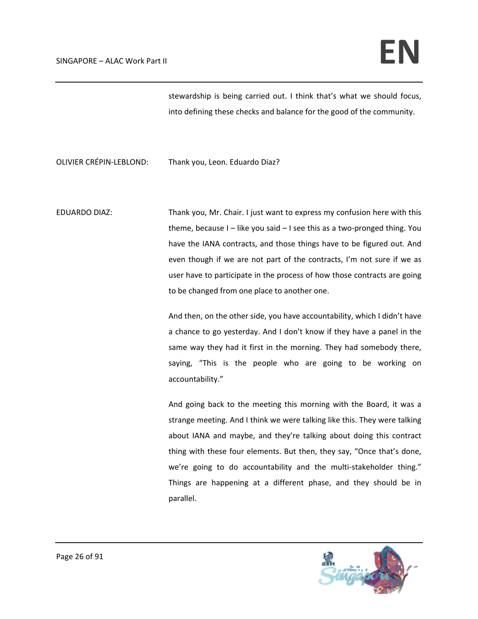stewardship is being carried out. I think that's what we should focus, into defining these checks and balance for the good of the community.

OLIVIER CRÉPIN‐LEBLOND: Thank you, Leon. Eduardo Diaz?

EDUARDO DIAZ: Thank you, Mr. Chair. I just want to express my confusion here with this theme, because I – like you said – I see this as a two‐pronged thing. You have the IANA contracts, and those things have to be figured out. And even though if we are not part of the contracts, I'm not sure if we as user have to participate in the process of how those contracts are going to be changed from one place to another one.

> And then, on the other side, you have accountability, which I didn't have a chance to go yesterday. And I don't know if they have a panel in the same way they had it first in the morning. They had somebody there, saying, "This is the people who are going to be working on accountability."

> And going back to the meeting this morning with the Board, it was a strange meeting. And I think we were talking like this. They were talking about IANA and maybe, and they're talking about doing this contract thing with these four elements. But then, they say, "Once that's done, we're going to do accountability and the multi-stakeholder thing." Things are happening at a different phase, and they should be in parallel.

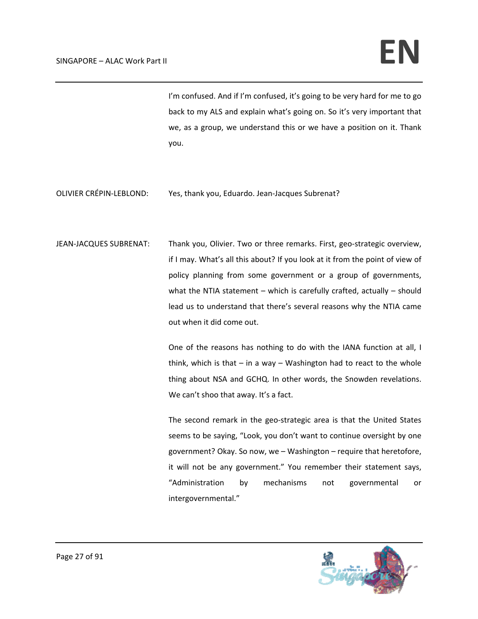I'm confused. And if I'm confused, it's going to be very hard for me to go back to my ALS and explain what's going on. So it's very important that we, as a group, we understand this or we have a position on it. Thank you.

OLIVIER CRÉPIN‐LEBLOND: Yes, thank you, Eduardo. Jean‐Jacques Subrenat?

JEAN-JACQUES SUBRENAT: Thank you, Olivier. Two or three remarks. First, geo-strategic overview, if I may. What's all this about? If you look at it from the point of view of policy planning from some government or a group of governments, what the NTIA statement  $-$  which is carefully crafted, actually  $-$  should lead us to understand that there's several reasons why the NTIA came out when it did come out.

> One of the reasons has nothing to do with the IANA function at all, I think, which is that  $-$  in a way  $-$  Washington had to react to the whole thing about NSA and GCHQ. In other words, the Snowden revelations. We can't shoo that away. It's a fact.

> The second remark in the geo-strategic area is that the United States seems to be saying, "Look, you don't want to continue oversight by one government? Okay. So now, we – Washington – require that heretofore, it will not be any government." You remember their statement says, "Administration by mechanisms not governmental or intergovernmental."

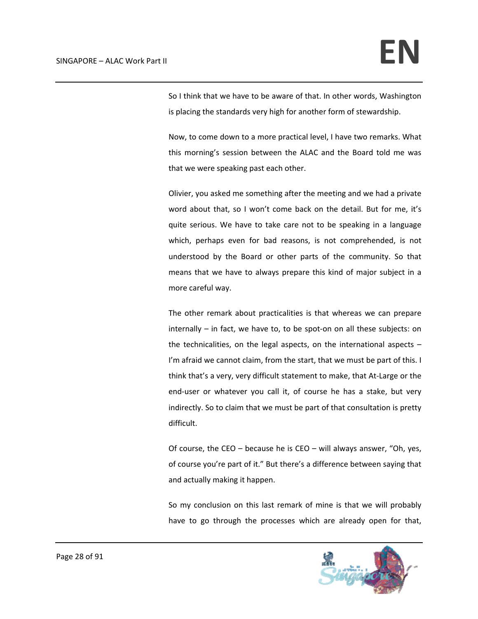So I think that we have to be aware of that. In other words, Washington is placing the standards very high for another form of stewardship.

Now, to come down to a more practical level, I have two remarks. What this morning's session between the ALAC and the Board told me was that we were speaking past each other.

Olivier, you asked me something after the meeting and we had a private word about that, so I won't come back on the detail. But for me, it's quite serious. We have to take care not to be speaking in a language which, perhaps even for bad reasons, is not comprehended, is not understood by the Board or other parts of the community. So that means that we have to always prepare this kind of major subject in a more careful way.

The other remark about practicalities is that whereas we can prepare internally – in fact, we have to, to be spot‐on on all these subjects: on the technicalities, on the legal aspects, on the international aspects – I'm afraid we cannot claim, from the start, that we must be part of this. I think that's a very, very difficult statement to make, that At‐Large or the end-user or whatever you call it, of course he has a stake, but very indirectly. So to claim that we must be part of that consultation is pretty difficult.

Of course, the CEO – because he is CEO – will always answer, "Oh, yes, of course you're part of it." But there's a difference between saying that and actually making it happen.

So my conclusion on this last remark of mine is that we will probably have to go through the processes which are already open for that,

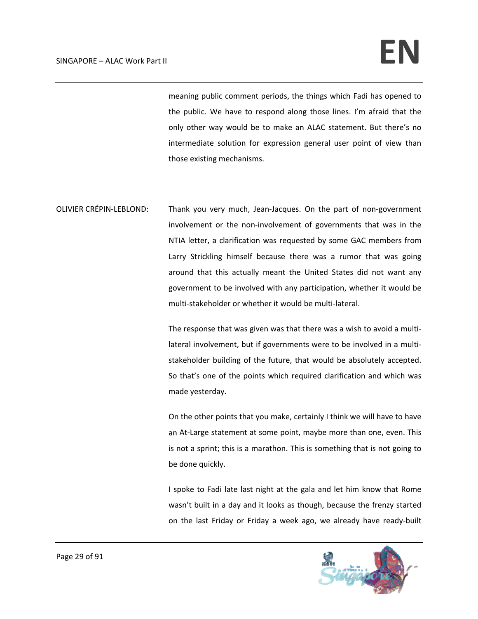meaning public comment periods, the things which Fadi has opened to the public. We have to respond along those lines. I'm afraid that the only other way would be to make an ALAC statement. But there's no intermediate solution for expression general user point of view than those existing mechanisms.

OLIVIER CRÉPIN‐LEBLOND: Thank you very much, Jean‐Jacques. On the part of non‐government involvement or the non‐involvement of governments that was in the NTIA letter, a clarification was requested by some GAC members from Larry Strickling himself because there was a rumor that was going around that this actually meant the United States did not want any government to be involved with any participation, whether it would be multi‐stakeholder or whether it would be multi‐lateral.

> The response that was given was that there was a wish to avoid a multi‐ lateral involvement, but if governments were to be involved in a multi‐ stakeholder building of the future, that would be absolutely accepted. So that's one of the points which required clarification and which was made yesterday.

> On the other points that you make, certainly I think we will have to have an At-Large statement at some point, maybe more than one, even. This is not a sprint; this is a marathon. This is something that is not going to be done quickly.

> I spoke to Fadi late last night at the gala and let him know that Rome wasn't built in a day and it looks as though, because the frenzy started on the last Friday or Friday a week ago, we already have ready‐built

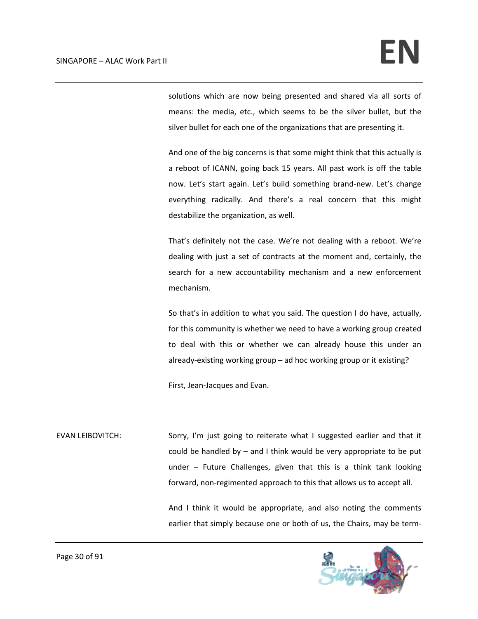solutions which are now being presented and shared via all sorts of means: the media, etc., which seems to be the silver bullet, but the silver bullet for each one of the organizations that are presenting it.

And one of the big concerns is that some might think that this actually is a reboot of ICANN, going back 15 years. All past work is off the table now. Let's start again. Let's build something brand‐new. Let's change everything radically. And there's a real concern that this might destabilize the organization, as well.

That's definitely not the case. We're not dealing with a reboot. We're dealing with just a set of contracts at the moment and, certainly, the search for a new accountability mechanism and a new enforcement mechanism.

So that's in addition to what you said. The question I do have, actually, for this community is whether we need to have a working group created to deal with this or whether we can already house this under an already‐existing working group – ad hoc working group or it existing?

First, Jean‐Jacques and Evan.

EVAN LEIBOVITCH: Sorry, I'm just going to reiterate what I suggested earlier and that it could be handled by – and I think would be very appropriate to be put under – Future Challenges, given that this is a think tank looking forward, non-regimented approach to this that allows us to accept all.

> And I think it would be appropriate, and also noting the comments earlier that simply because one or both of us, the Chairs, may be term‐

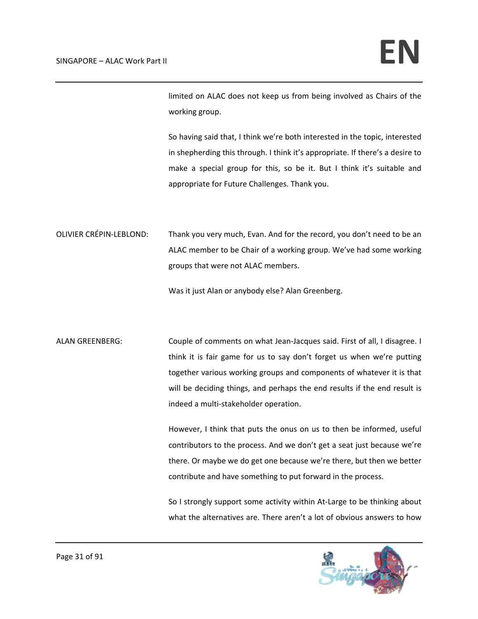limited on ALAC does not keep us from being involved as Chairs of the working group.

So having said that, I think we're both interested in the topic, interested in shepherding this through. I think it's appropriate. If there's a desire to make a special group for this, so be it. But I think it's suitable and appropriate for Future Challenges. Thank you.

OLIVIER CRÉPIN‐LEBLOND: Thank you very much, Evan. And for the record, you don't need to be an ALAC member to be Chair of a working group. We've had some working groups that were not ALAC members.

Was it just Alan or anybody else? Alan Greenberg.

ALAN GREENBERG: Couple of comments on what Jean-Jacques said. First of all, I disagree. I think it is fair game for us to say don't forget us when we're putting together various working groups and components of whatever it is that will be deciding things, and perhaps the end results if the end result is indeed a multi‐stakeholder operation.

> However, I think that puts the onus on us to then be informed, useful contributors to the process. And we don't get a seat just because we're there. Or maybe we do get one because we're there, but then we better contribute and have something to put forward in the process.

> So I strongly support some activity within At-Large to be thinking about what the alternatives are. There aren't a lot of obvious answers to how

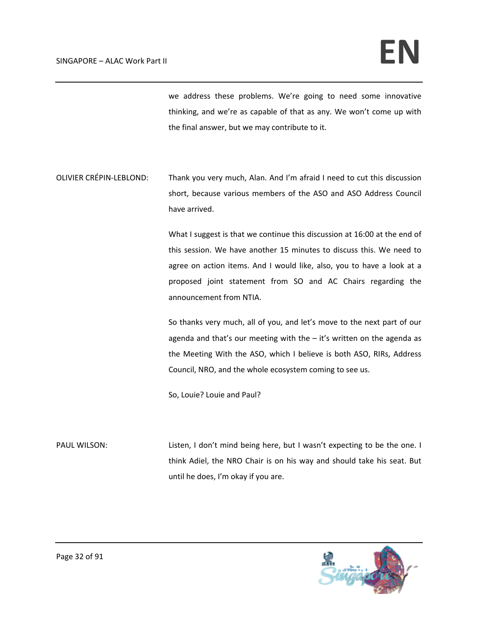we address these problems. We're going to need some innovative thinking, and we're as capable of that as any. We won't come up with the final answer, but we may contribute to it.

OLIVIER CRÉPIN‐LEBLOND: Thank you very much, Alan. And I'm afraid I need to cut this discussion short, because various members of the ASO and ASO Address Council have arrived.

> What I suggest is that we continue this discussion at 16:00 at the end of this session. We have another 15 minutes to discuss this. We need to agree on action items. And I would like, also, you to have a look at a proposed joint statement from SO and AC Chairs regarding the announcement from NTIA.

> So thanks very much, all of you, and let's move to the next part of our agenda and that's our meeting with the – it's written on the agenda as the Meeting With the ASO, which I believe is both ASO, RIRs, Address Council, NRO, and the whole ecosystem coming to see us.

So, Louie? Louie and Paul?

PAUL WILSON: Listen, I don't mind being here, but I wasn't expecting to be the one. I think Adiel, the NRO Chair is on his way and should take his seat. But until he does, I'm okay if you are.

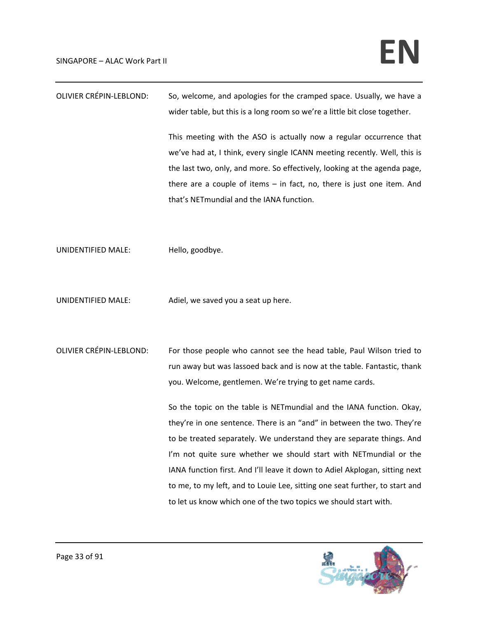| <b>OLIVIER CRÉPIN-LEBLOND:</b> | So, welcome, and apologies for the cramped space. Usually, we have a        |
|--------------------------------|-----------------------------------------------------------------------------|
|                                | wider table, but this is a long room so we're a little bit close together.  |
|                                | This meeting with the ASO is actually now a regular occurrence that         |
|                                | we've had at, I think, every single ICANN meeting recently. Well, this is   |
|                                | the last two, only, and more. So effectively, looking at the agenda page,   |
|                                | there are a couple of items $-$ in fact, no, there is just one item. And    |
|                                | that's NETmundial and the IANA function.                                    |
|                                |                                                                             |
|                                |                                                                             |
| UNIDENTIFIED MALE:             | Hello, goodbye.                                                             |
|                                |                                                                             |
|                                |                                                                             |
| UNIDENTIFIED MALE:             | Adiel, we saved you a seat up here.                                         |
|                                |                                                                             |
|                                |                                                                             |
| <b>OLIVIER CRÉPIN-LEBLOND:</b> | For those people who cannot see the head table, Paul Wilson tried to        |
|                                | run away but was lassoed back and is now at the table. Fantastic, thank     |
|                                | you. Welcome, gentlemen. We're trying to get name cards.                    |
|                                | So the topic on the table is NETmundial and the IANA function. Okay,        |
|                                | they're in one sentence. There is an "and" in between the two. They're      |
|                                | to be treated separately. We understand they are separate things. And       |
|                                | I'm not quite sure whether we should start with NETmundial or the           |
|                                | IANA function first. And I'll leave it down to Adiel Akplogan, sitting next |
|                                | to me, to my left, and to Louie Lee, sitting one seat further, to start and |
|                                | to let us know which one of the two topics we should start with.            |

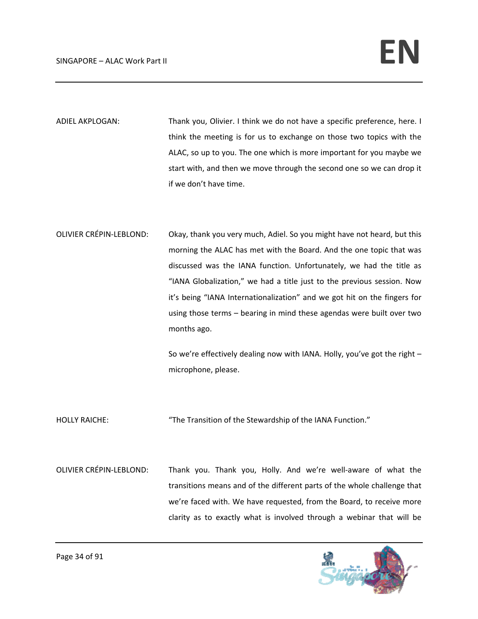- ADIEL AKPLOGAN: Thank you, Olivier. I think we do not have a specific preference, here. I think the meeting is for us to exchange on those two topics with the ALAC, so up to you. The one which is more important for you maybe we start with, and then we move through the second one so we can drop it if we don't have time.
- OLIVIER CRÉPIN‐LEBLOND: Okay, thank you very much, Adiel. So you might have not heard, but this morning the ALAC has met with the Board. And the one topic that was discussed was the IANA function. Unfortunately, we had the title as "IANA Globalization," we had a title just to the previous session. Now it's being "IANA Internationalization" and we got hit on the fingers for using those terms – bearing in mind these agendas were built over two months ago.

So we're effectively dealing now with IANA. Holly, you've got the right – microphone, please.

- HOLLY RAICHE: "The Transition of the Stewardship of the IANA Function."
- OLIVIER CRÉPIN‐LEBLOND: Thank you. Thank you, Holly. And we're well‐aware of what the transitions means and of the different parts of the whole challenge that we're faced with. We have requested, from the Board, to receive more clarity as to exactly what is involved through a webinar that will be

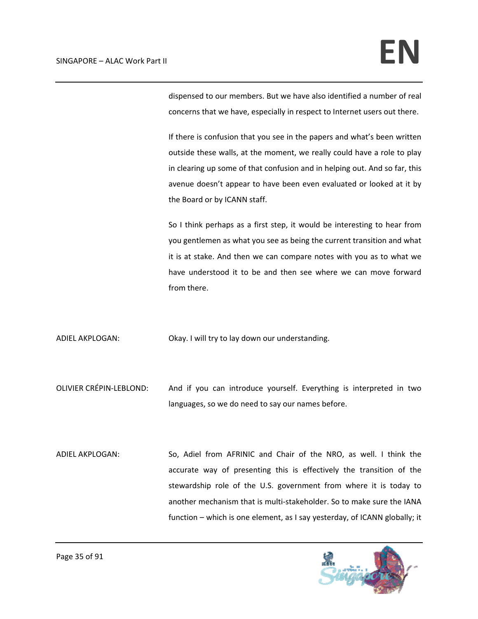dispensed to our members. But we have also identified a number of real concerns that we have, especially in respect to Internet users out there.

If there is confusion that you see in the papers and what's been written outside these walls, at the moment, we really could have a role to play in clearing up some of that confusion and in helping out. And so far, this avenue doesn't appear to have been even evaluated or looked at it by the Board or by ICANN staff.

So I think perhaps as a first step, it would be interesting to hear from you gentlemen as what you see as being the current transition and what it is at stake. And then we can compare notes with you as to what we have understood it to be and then see where we can move forward from there.

ADIEL AKPLOGAN: Okay. I will try to lay down our understanding.

OLIVIER CRÉPIN‐LEBLOND: And if you can introduce yourself. Everything is interpreted in two languages, so we do need to say our names before.

ADIEL AKPLOGAN: So, Adiel from AFRINIC and Chair of the NRO, as well. I think the accurate way of presenting this is effectively the transition of the stewardship role of the U.S. government from where it is today to another mechanism that is multi‐stakeholder. So to make sure the IANA function – which is one element, as I say yesterday, of ICANN globally; it

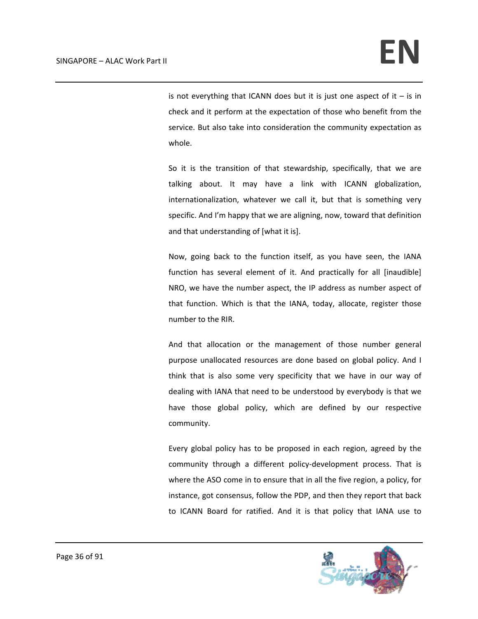is not everything that ICANN does but it is just one aspect of it  $-$  is in check and it perform at the expectation of those who benefit from the service. But also take into consideration the community expectation as whole.

So it is the transition of that stewardship, specifically, that we are talking about. It may have a link with ICANN globalization, internationalization, whatever we call it, but that is something very specific. And I'm happy that we are aligning, now, toward that definition and that understanding of [what it is].

Now, going back to the function itself, as you have seen, the IANA function has several element of it. And practically for all [inaudible] NRO, we have the number aspect, the IP address as number aspect of that function. Which is that the IANA, today, allocate, register those number to the RIR.

And that allocation or the management of those number general purpose unallocated resources are done based on global policy. And I think that is also some very specificity that we have in our way of dealing with IANA that need to be understood by everybody is that we have those global policy, which are defined by our respective community.

Every global policy has to be proposed in each region, agreed by the community through a different policy-development process. That is where the ASO come in to ensure that in all the five region, a policy, for instance, got consensus, follow the PDP, and then they report that back to ICANN Board for ratified. And it is that policy that IANA use to

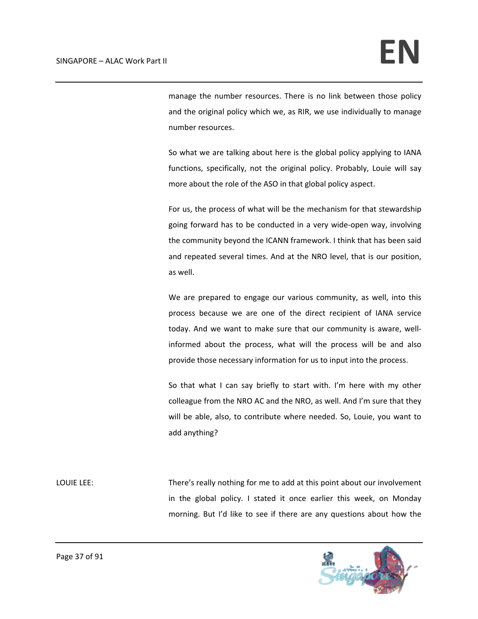manage the number resources. There is no link between those policy and the original policy which we, as RIR, we use individually to manage number resources.

So what we are talking about here is the global policy applying to IANA functions, specifically, not the original policy. Probably, Louie will say more about the role of the ASO in that global policy aspect.

For us, the process of what will be the mechanism for that stewardship going forward has to be conducted in a very wide‐open way, involving the community beyond the ICANN framework. I think that has been said and repeated several times. And at the NRO level, that is our position, as well.

We are prepared to engage our various community, as well, into this process because we are one of the direct recipient of IANA service today. And we want to make sure that our community is aware, well‐ informed about the process, what will the process will be and also provide those necessary information for us to input into the process.

So that what I can say briefly to start with. I'm here with my other colleague from the NRO AC and the NRO, as well. And I'm sure that they will be able, also, to contribute where needed. So, Louie, you want to add anything?

LOUIE LEE: There's really nothing for me to add at this point about our involvement in the global policy. I stated it once earlier this week, on Monday morning. But I'd like to see if there are any questions about how the

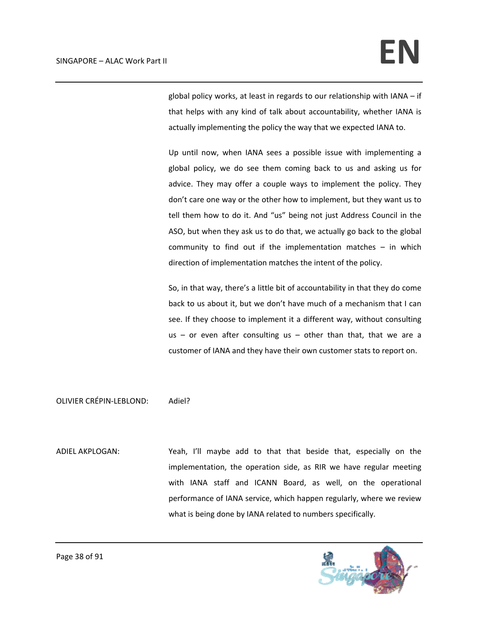global policy works, at least in regards to our relationship with IANA – if that helps with any kind of talk about accountability, whether IANA is actually implementing the policy the way that we expected IANA to.

Up until now, when IANA sees a possible issue with implementing a global policy, we do see them coming back to us and asking us for advice. They may offer a couple ways to implement the policy. They don't care one way or the other how to implement, but they want us to tell them how to do it. And "us" being not just Address Council in the ASO, but when they ask us to do that, we actually go back to the global community to find out if the implementation matches – in which direction of implementation matches the intent of the policy.

So, in that way, there's a little bit of accountability in that they do come back to us about it, but we don't have much of a mechanism that I can see. If they choose to implement it a different way, without consulting  $us - or even$  after consulting us  $-$  other than that, that we are a customer of IANA and they have their own customer stats to report on.

OLIVIER CRÉPIN‐LEBLOND: Adiel?

ADIEL AKPLOGAN: Yeah, I'll maybe add to that that beside that, especially on the implementation, the operation side, as RIR we have regular meeting with IANA staff and ICANN Board, as well, on the operational performance of IANA service, which happen regularly, where we review what is being done by IANA related to numbers specifically.

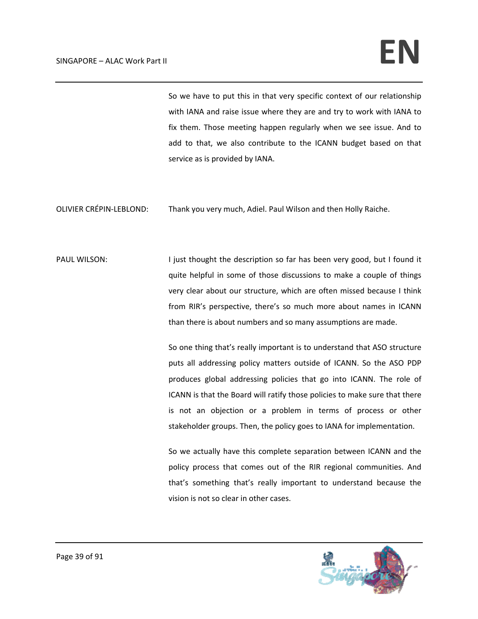So we have to put this in that very specific context of our relationship with IANA and raise issue where they are and try to work with IANA to fix them. Those meeting happen regularly when we see issue. And to add to that, we also contribute to the ICANN budget based on that service as is provided by IANA.

OLIVIER CRÉPIN‐LEBLOND: Thank you very much, Adiel. Paul Wilson and then Holly Raiche.

PAUL WILSON: I just thought the description so far has been very good, but I found it quite helpful in some of those discussions to make a couple of things very clear about our structure, which are often missed because I think from RIR's perspective, there's so much more about names in ICANN than there is about numbers and so many assumptions are made.

> So one thing that's really important is to understand that ASO structure puts all addressing policy matters outside of ICANN. So the ASO PDP produces global addressing policies that go into ICANN. The role of ICANN is that the Board will ratify those policies to make sure that there is not an objection or a problem in terms of process or other stakeholder groups. Then, the policy goes to IANA for implementation.

> So we actually have this complete separation between ICANN and the policy process that comes out of the RIR regional communities. And that's something that's really important to understand because the vision is not so clear in other cases.

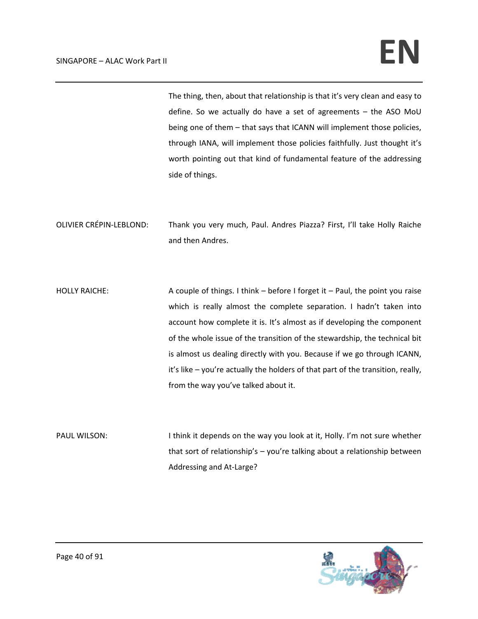The thing, then, about that relationship is that it's very clean and easy to define. So we actually do have a set of agreements – the ASO MoU being one of them – that says that ICANN will implement those policies, through IANA, will implement those policies faithfully. Just thought it's worth pointing out that kind of fundamental feature of the addressing side of things.

OLIVIER CRÉPIN‐LEBLOND: Thank you very much, Paul. Andres Piazza? First, I'll take Holly Raiche and then Andres.

HOLLY RAICHE: A couple of things. I think – before I forget it – Paul, the point you raise which is really almost the complete separation. I hadn't taken into account how complete it is. It's almost as if developing the component of the whole issue of the transition of the stewardship, the technical bit is almost us dealing directly with you. Because if we go through ICANN, it's like – you're actually the holders of that part of the transition, really, from the way you've talked about it.

PAUL WILSON: I think it depends on the way you look at it, Holly. I'm not sure whether that sort of relationship's – you're talking about a relationship between Addressing and At‐Large?

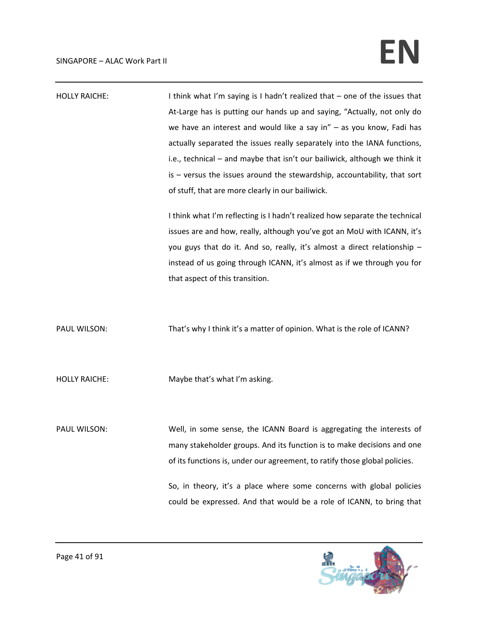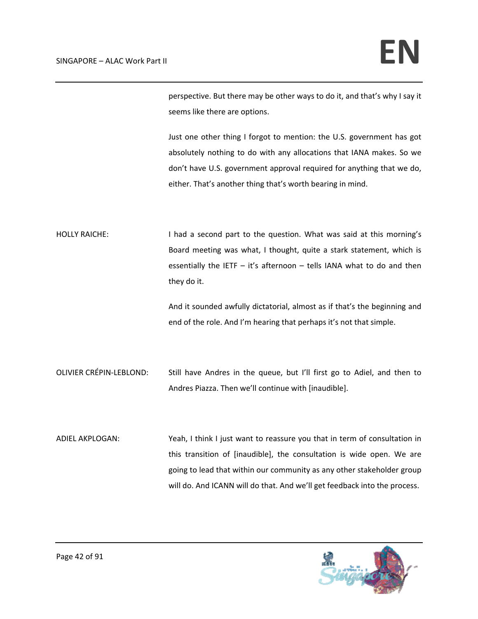perspective. But there may be other ways to do it, and that's why I say it seems like there are options.

Just one other thing I forgot to mention: the U.S. government has got absolutely nothing to do with any allocations that IANA makes. So we don't have U.S. government approval required for anything that we do, either. That's another thing that's worth bearing in mind.

HOLLY RAICHE: I had a second part to the question. What was said at this morning's Board meeting was what, I thought, quite a stark statement, which is essentially the IETF  $-$  it's afternoon  $-$  tells IANA what to do and then they do it.

> And it sounded awfully dictatorial, almost as if that's the beginning and end of the role. And I'm hearing that perhaps it's not that simple.

- OLIVIER CRÉPIN‐LEBLOND: Still have Andres in the queue, but I'll first go to Adiel, and then to Andres Piazza. Then we'll continue with [inaudible].
- ADIEL AKPLOGAN: Yeah, I think I just want to reassure you that in term of consultation in this transition of [inaudible], the consultation is wide open. We are going to lead that within our community as any other stakeholder group will do. And ICANN will do that. And we'll get feedback into the process.

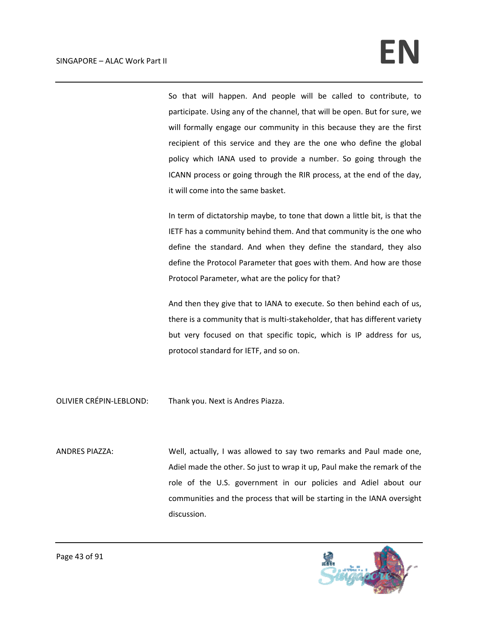So that will happen. And people will be called to contribute, to participate. Using any of the channel, that will be open. But for sure, we will formally engage our community in this because they are the first recipient of this service and they are the one who define the global policy which IANA used to provide a number. So going through the ICANN process or going through the RIR process, at the end of the day, it will come into the same basket.

In term of dictatorship maybe, to tone that down a little bit, is that the IETF has a community behind them. And that community is the one who define the standard. And when they define the standard, they also define the Protocol Parameter that goes with them. And how are those Protocol Parameter, what are the policy for that?

And then they give that to IANA to execute. So then behind each of us, there is a community that is multi‐stakeholder, that has different variety but very focused on that specific topic, which is IP address for us, protocol standard for IETF, and so on.

OLIVIER CRÉPIN‐LEBLOND: Thank you. Next is Andres Piazza.

ANDRES PIAZZA: Well, actually, I was allowed to say two remarks and Paul made one, Adiel made the other. So just to wrap it up, Paul make the remark of the role of the U.S. government in our policies and Adiel about our communities and the process that will be starting in the IANA oversight discussion.

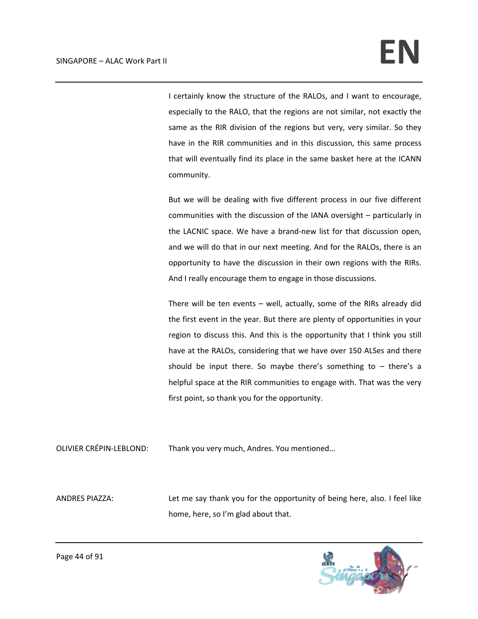I certainly know the structure of the RALOs, and I want to encourage, especially to the RALO, that the regions are not similar, not exactly the same as the RIR division of the regions but very, very similar. So they have in the RIR communities and in this discussion, this same process that will eventually find its place in the same basket here at the ICANN community.

But we will be dealing with five different process in our five different communities with the discussion of the IANA oversight – particularly in the LACNIC space. We have a brand‐new list for that discussion open, and we will do that in our next meeting. And for the RALOs, there is an opportunity to have the discussion in their own regions with the RIRs. And I really encourage them to engage in those discussions.

There will be ten events – well, actually, some of the RIRs already did the first event in the year. But there are plenty of opportunities in your region to discuss this. And this is the opportunity that I think you still have at the RALOs, considering that we have over 150 ALSes and there should be input there. So maybe there's something to  $-$  there's a helpful space at the RIR communities to engage with. That was the very first point, so thank you for the opportunity.

OLIVIER CRÉPIN‐LEBLOND: Thank you very much, Andres. You mentioned…

ANDRES PIAZZA: Let me say thank you for the opportunity of being here, also. I feel like home, here, so I'm glad about that.

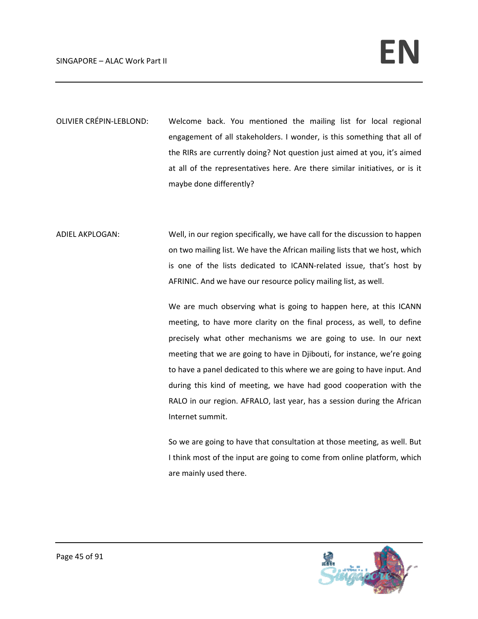- OLIVIER CRÉPIN‐LEBLOND: Welcome back. You mentioned the mailing list for local regional engagement of all stakeholders. I wonder, is this something that all of the RIRs are currently doing? Not question just aimed at you, it's aimed at all of the representatives here. Are there similar initiatives, or is it maybe done differently?
- ADIEL AKPLOGAN: Well, in our region specifically, we have call for the discussion to happen on two mailing list. We have the African mailing lists that we host, which is one of the lists dedicated to ICANN‐related issue, that's host by AFRINIC. And we have our resource policy mailing list, as well.

We are much observing what is going to happen here, at this ICANN meeting, to have more clarity on the final process, as well, to define precisely what other mechanisms we are going to use. In our next meeting that we are going to have in Djibouti, for instance, we're going to have a panel dedicated to this where we are going to have input. And during this kind of meeting, we have had good cooperation with the RALO in our region. AFRALO, last year, has a session during the African Internet summit.

So we are going to have that consultation at those meeting, as well. But I think most of the input are going to come from online platform, which are mainly used there.

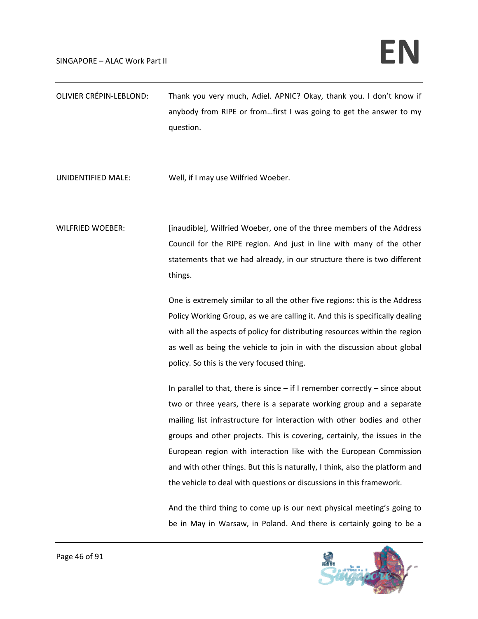| OLIVIER CRÉPIN-LEBLOND: | Thank you very much, Adiel. APNIC? Okay, thank you. I don't know if |
|-------------------------|---------------------------------------------------------------------|
|                         | anybody from RIPE or fromfirst I was going to get the answer to my  |
|                         | question.                                                           |

UNIDENTIFIED MALE: Well, if I may use Wilfried Woeber.

WILFRIED WOEBER: [inaudible], Wilfried Woeber, one of the three members of the Address Council for the RIPE region. And just in line with many of the other statements that we had already, in our structure there is two different things.

> One is extremely similar to all the other five regions: this is the Address Policy Working Group, as we are calling it. And this is specifically dealing with all the aspects of policy for distributing resources within the region as well as being the vehicle to join in with the discussion about global policy. So this is the very focused thing.

> In parallel to that, there is since  $-$  if I remember correctly  $-$  since about two or three years, there is a separate working group and a separate mailing list infrastructure for interaction with other bodies and other groups and other projects. This is covering, certainly, the issues in the European region with interaction like with the European Commission and with other things. But this is naturally, I think, also the platform and the vehicle to deal with questions or discussions in this framework.

> And the third thing to come up is our next physical meeting's going to be in May in Warsaw, in Poland. And there is certainly going to be a

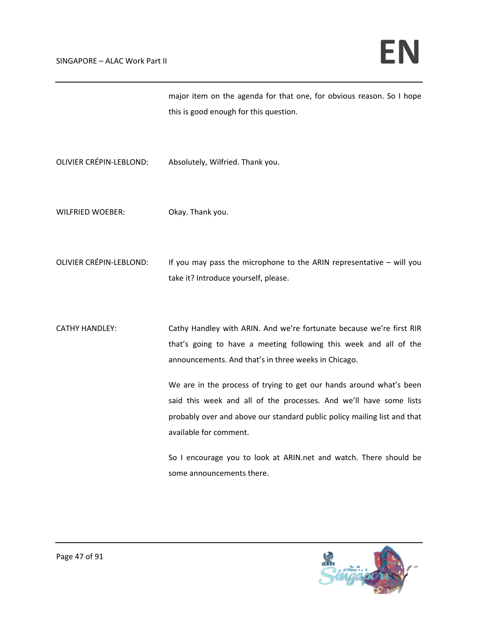this is good enough for this question. OLIVIER CRÉPIN‐LEBLOND: Absolutely, Wilfried. Thank you. WILFRIED WOEBER: Okay. Thank you. OLIVIER CRÉPIN-LEBLOND: If you may pass the microphone to the ARIN representative – will you take it? Introduce yourself, please. CATHY HANDLEY: Cathy Handley with ARIN. And we're fortunate because we're first RIR that's going to have a meeting following this week and all of the announcements. And that's in three weeks in Chicago. We are in the process of trying to get our hands around what's been said this week and all of the processes. And we'll have some lists probably over and above our standard public policy mailing list and that available for comment. So I encourage you to look at ARIN.net and watch. There should be some announcements there.

major item on the agenda for that one, for obvious reason. So I hope

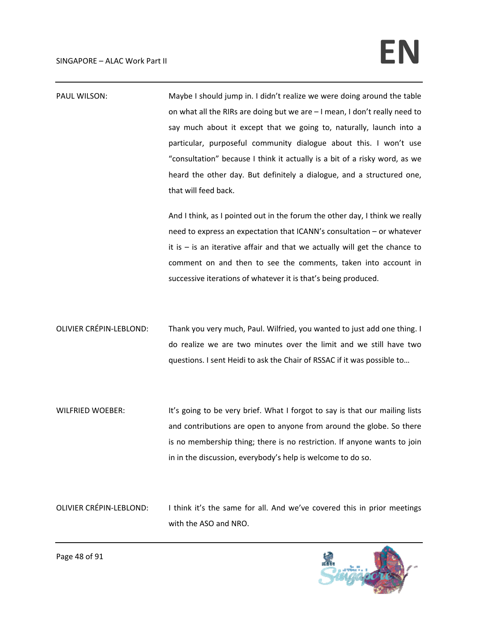| PAUL WILSON:                   | Maybe I should jump in. I didn't realize we were doing around the table<br>on what all the RIRs are doing but we are - I mean, I don't really need to<br>say much about it except that we going to, naturally, launch into a<br>particular, purposeful community dialogue about this. I won't use<br>"consultation" because I think it actually is a bit of a risky word, as we<br>heard the other day. But definitely a dialogue, and a structured one,<br>that will feed back. |
|--------------------------------|----------------------------------------------------------------------------------------------------------------------------------------------------------------------------------------------------------------------------------------------------------------------------------------------------------------------------------------------------------------------------------------------------------------------------------------------------------------------------------|
|                                | And I think, as I pointed out in the forum the other day, I think we really<br>need to express an expectation that ICANN's consultation - or whatever<br>it is $-$ is an iterative affair and that we actually will get the chance to<br>comment on and then to see the comments, taken into account in<br>successive iterations of whatever it is that's being produced.                                                                                                        |
| <b>OLIVIER CRÉPIN-LEBLOND:</b> | Thank you very much, Paul. Wilfried, you wanted to just add one thing. I<br>do realize we are two minutes over the limit and we still have two<br>questions. I sent Heidi to ask the Chair of RSSAC if it was possible to                                                                                                                                                                                                                                                        |
| <b>WILFRIED WOEBER:</b>        | It's going to be very brief. What I forgot to say is that our mailing lists<br>and contributions are open to anyone from around the globe. So there<br>is no membership thing; there is no restriction. If anyone wants to join<br>in in the discussion, everybody's help is welcome to do so.                                                                                                                                                                                   |

OLIVIER CRÉPIN-LEBLOND: I think it's the same for all. And we've covered this in prior meetings with the ASO and NRO.

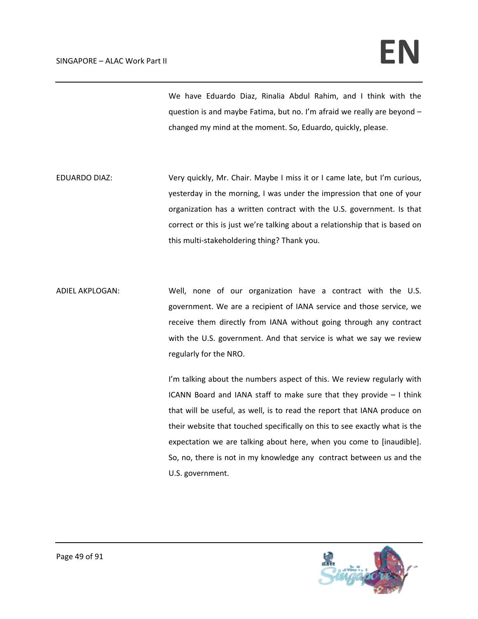We have Eduardo Diaz, Rinalia Abdul Rahim, and I think with the question is and maybe Fatima, but no. I'm afraid we really are beyond – changed my mind at the moment. So, Eduardo, quickly, please.

- EDUARDO DIAZ: Very quickly, Mr. Chair. Maybe I miss it or I came late, but I'm curious, yesterday in the morning, I was under the impression that one of your organization has a written contract with the U.S. government. Is that correct or this is just we're talking about a relationship that is based on this multi‐stakeholdering thing? Thank you.
- ADIEL AKPLOGAN: Well, none of our organization have a contract with the U.S. government. We are a recipient of IANA service and those service, we receive them directly from IANA without going through any contract with the U.S. government. And that service is what we say we review regularly for the NRO.

I'm talking about the numbers aspect of this. We review regularly with ICANN Board and IANA staff to make sure that they provide – I think that will be useful, as well, is to read the report that IANA produce on their website that touched specifically on this to see exactly what is the expectation we are talking about here, when you come to [inaudible]. So, no, there is not in my knowledge any contract between us and the U.S. government.

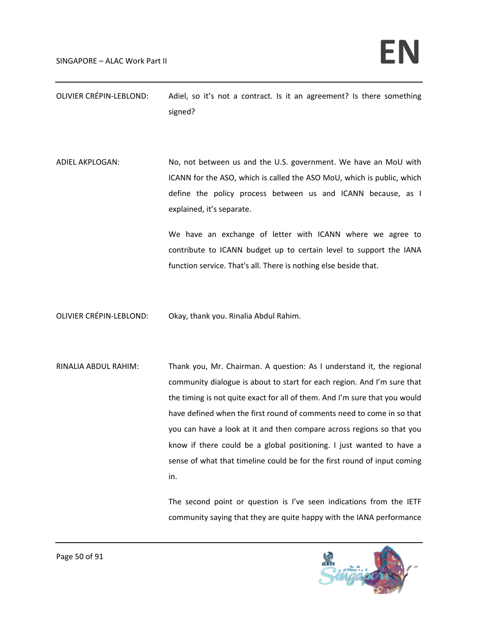| OLIVIER CRÉPIN-LEBLOND: | Adiel, so it's not a contract. Is it an agreement? Is there something |
|-------------------------|-----------------------------------------------------------------------|
|                         | signed?                                                               |

ADIEL AKPLOGAN: No, not between us and the U.S. government. We have an MoU with ICANN for the ASO, which is called the ASO MoU, which is public, which define the policy process between us and ICANN because, as I explained, it's separate.

> We have an exchange of letter with ICANN where we agree to contribute to ICANN budget up to certain level to support the IANA function service. That's all. There is nothing else beside that.

OLIVIER CRÉPIN‐LEBLOND: Okay, thank you. Rinalia Abdul Rahim.

RINALIA ABDUL RAHIM: Thank you, Mr. Chairman. A question: As I understand it, the regional community dialogue is about to start for each region. And I'm sure that the timing is not quite exact for all of them. And I'm sure that you would have defined when the first round of comments need to come in so that you can have a look at it and then compare across regions so that you know if there could be a global positioning. I just wanted to have a sense of what that timeline could be for the first round of input coming in.

> The second point or question is I've seen indications from the IETF community saying that they are quite happy with the IANA performance

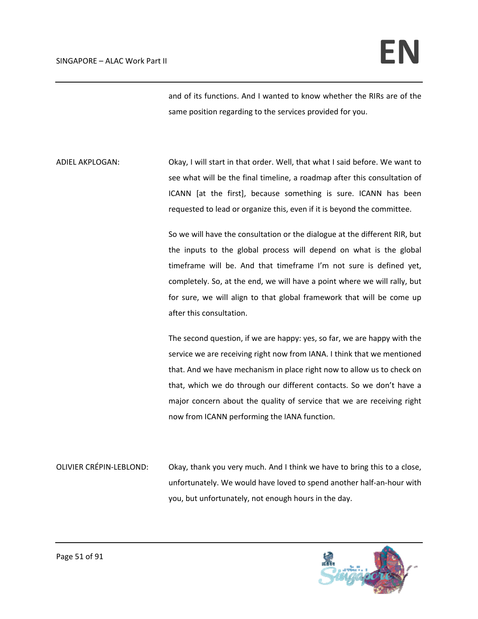and of its functions. And I wanted to know whether the RIRs are of the same position regarding to the services provided for you.

ADIEL AKPLOGAN: Okay, I will start in that order. Well, that what I said before. We want to see what will be the final timeline, a roadmap after this consultation of ICANN [at the first], because something is sure. ICANN has been requested to lead or organize this, even if it is beyond the committee.

> So we will have the consultation or the dialogue at the different RIR, but the inputs to the global process will depend on what is the global timeframe will be. And that timeframe I'm not sure is defined yet, completely. So, at the end, we will have a point where we will rally, but for sure, we will align to that global framework that will be come up after this consultation.

> The second question, if we are happy: yes, so far, we are happy with the service we are receiving right now from IANA. I think that we mentioned that. And we have mechanism in place right now to allow us to check on that, which we do through our different contacts. So we don't have a major concern about the quality of service that we are receiving right now from ICANN performing the IANA function.

OLIVIER CRÉPIN‐LEBLOND: Okay, thank you very much. And I think we have to bring this to a close, unfortunately. We would have loved to spend another half‐an‐hour with you, but unfortunately, not enough hours in the day.

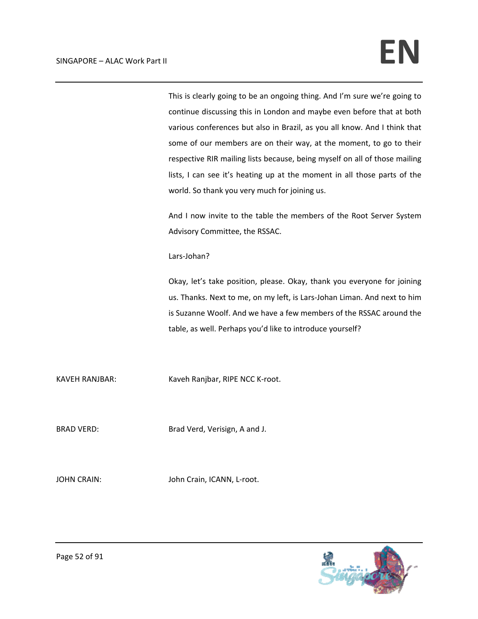This is clearly going to be an ongoing thing. And I'm sure we're going to continue discussing this in London and maybe even before that at both various conferences but also in Brazil, as you all know. And I think that some of our members are on their way, at the moment, to go to their respective RIR mailing lists because, being myself on all of those mailing lists, I can see it's heating up at the moment in all those parts of the world. So thank you very much for joining us.

And I now invite to the table the members of the Root Server System Advisory Committee, the RSSAC.

Lars‐Johan?

Okay, let's take position, please. Okay, thank you everyone for joining us. Thanks. Next to me, on my left, is Lars‐Johan Liman. And next to him is Suzanne Woolf. And we have a few members of the RSSAC around the table, as well. Perhaps you'd like to introduce yourself?

KAVEH RANJBAR: Kaveh Ranjbar, RIPE NCC K-root.

BRAD VERD: Brad Verd, Verisign, A and J.

JOHN CRAIN: John Crain, ICANN, L-root.

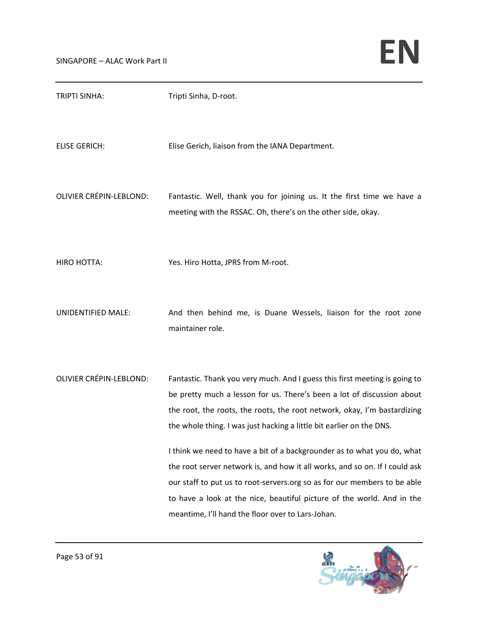| <b>TRIPTI SINHA:</b>           | Tripti Sinha, D-root.                                                                                                                                                                                                                                                                                                                                                                                                                                                                                                                                                                                                                                                         |
|--------------------------------|-------------------------------------------------------------------------------------------------------------------------------------------------------------------------------------------------------------------------------------------------------------------------------------------------------------------------------------------------------------------------------------------------------------------------------------------------------------------------------------------------------------------------------------------------------------------------------------------------------------------------------------------------------------------------------|
| <b>ELISE GERICH:</b>           | Elise Gerich, liaison from the IANA Department.                                                                                                                                                                                                                                                                                                                                                                                                                                                                                                                                                                                                                               |
| <b>OLIVIER CRÉPIN-LEBLOND:</b> | Fantastic. Well, thank you for joining us. It the first time we have a<br>meeting with the RSSAC. Oh, there's on the other side, okay.                                                                                                                                                                                                                                                                                                                                                                                                                                                                                                                                        |
| <b>HIRO HOTTA:</b>             | Yes. Hiro Hotta, JPRS from M-root.                                                                                                                                                                                                                                                                                                                                                                                                                                                                                                                                                                                                                                            |
| UNIDENTIFIED MALE:             | And then behind me, is Duane Wessels, liaison for the root zone<br>maintainer role.                                                                                                                                                                                                                                                                                                                                                                                                                                                                                                                                                                                           |
| <b>OLIVIER CRÉPIN-LEBLOND:</b> | Fantastic. Thank you very much. And I guess this first meeting is going to<br>be pretty much a lesson for us. There's been a lot of discussion about<br>the root, the roots, the roots, the root network, okay, I'm bastardizing<br>the whole thing. I was just hacking a little bit earlier on the DNS.<br>I think we need to have a bit of a backgrounder as to what you do, what<br>the root server network is, and how it all works, and so on. If I could ask<br>our staff to put us to root-servers.org so as for our members to be able<br>to have a look at the nice, beautiful picture of the world. And in the<br>meantime, I'll hand the floor over to Lars-Johan. |

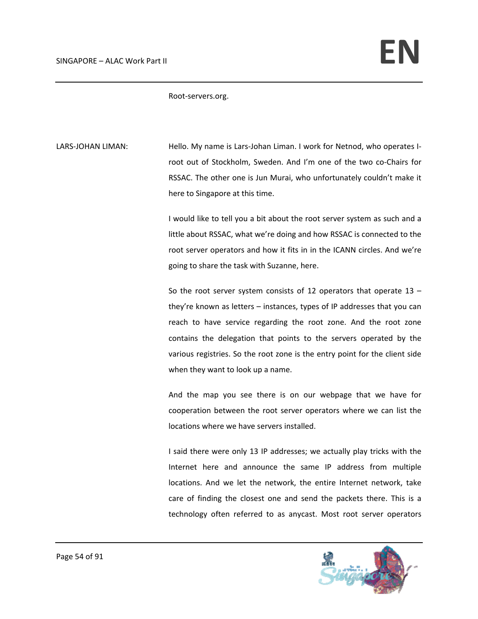Root‐servers.org.

LARS-JOHAN LIMAN: Hello. My name is Lars-Johan Liman. I work for Netnod, who operates Iroot out of Stockholm, Sweden. And I'm one of the two co‐Chairs for RSSAC. The other one is Jun Murai, who unfortunately couldn't make it here to Singapore at this time.

> I would like to tell you a bit about the root server system as such and a little about RSSAC, what we're doing and how RSSAC is connected to the root server operators and how it fits in in the ICANN circles. And we're going to share the task with Suzanne, here.

> So the root server system consists of 12 operators that operate  $13$ they're known as letters – instances, types of IP addresses that you can reach to have service regarding the root zone. And the root zone contains the delegation that points to the servers operated by the various registries. So the root zone is the entry point for the client side when they want to look up a name.

> And the map you see there is on our webpage that we have for cooperation between the root server operators where we can list the locations where we have servers installed.

> I said there were only 13 IP addresses; we actually play tricks with the Internet here and announce the same IP address from multiple locations. And we let the network, the entire Internet network, take care of finding the closest one and send the packets there. This is a technology often referred to as anycast. Most root server operators

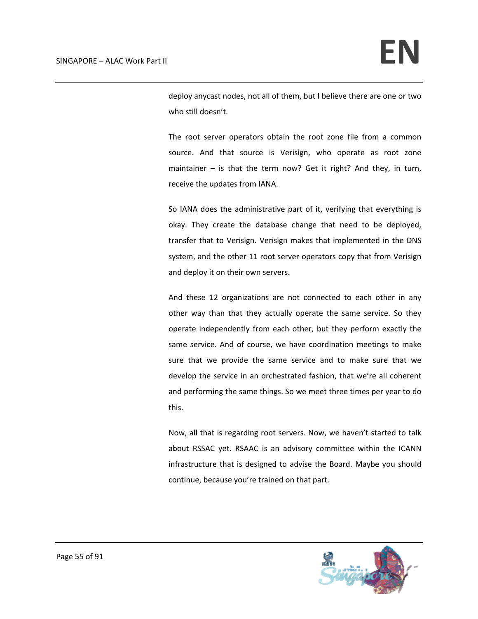deploy anycast nodes, not all of them, but I believe there are one or two who still doesn't.

The root server operators obtain the root zone file from a common source. And that source is Verisign, who operate as root zone maintainer – is that the term now? Get it right? And they, in turn, receive the updates from IANA.

So IANA does the administrative part of it, verifying that everything is okay. They create the database change that need to be deployed, transfer that to Verisign. Verisign makes that implemented in the DNS system, and the other 11 root server operators copy that from Verisign and deploy it on their own servers.

And these 12 organizations are not connected to each other in any other way than that they actually operate the same service. So they operate independently from each other, but they perform exactly the same service. And of course, we have coordination meetings to make sure that we provide the same service and to make sure that we develop the service in an orchestrated fashion, that we're all coherent and performing the same things. So we meet three times per year to do this.

Now, all that is regarding root servers. Now, we haven't started to talk about RSSAC yet. RSAAC is an advisory committee within the ICANN infrastructure that is designed to advise the Board. Maybe you should continue, because you're trained on that part.

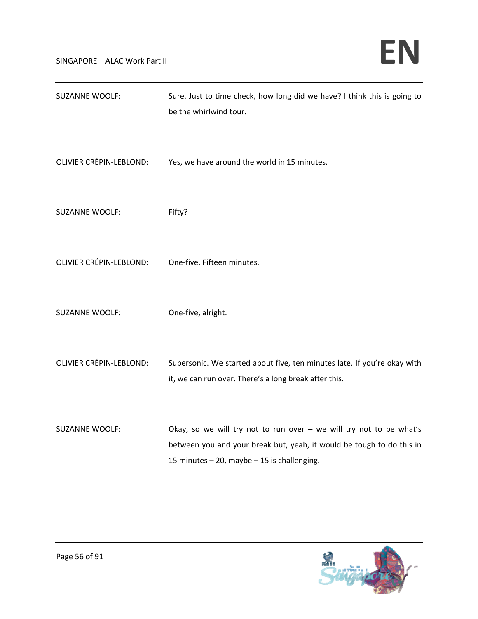| <b>SUZANNE WOOLF:</b>          | Sure. Just to time check, how long did we have? I think this is going to<br>be the whirlwind tour.                                                                                            |
|--------------------------------|-----------------------------------------------------------------------------------------------------------------------------------------------------------------------------------------------|
| <b>OLIVIER CRÉPIN-LEBLOND:</b> | Yes, we have around the world in 15 minutes.                                                                                                                                                  |
| <b>SUZANNE WOOLF:</b>          | Fifty?                                                                                                                                                                                        |
| <b>OLIVIER CRÉPIN-LEBLOND:</b> | One-five. Fifteen minutes.                                                                                                                                                                    |
| <b>SUZANNE WOOLF:</b>          | One-five, alright.                                                                                                                                                                            |
| <b>OLIVIER CRÉPIN-LEBLOND:</b> | Supersonic. We started about five, ten minutes late. If you're okay with<br>it, we can run over. There's a long break after this.                                                             |
| <b>SUZANNE WOOLF:</b>          | Okay, so we will try not to run over $-$ we will try not to be what's<br>between you and your break but, yeah, it would be tough to do this in<br>15 minutes - 20, maybe - 15 is challenging. |

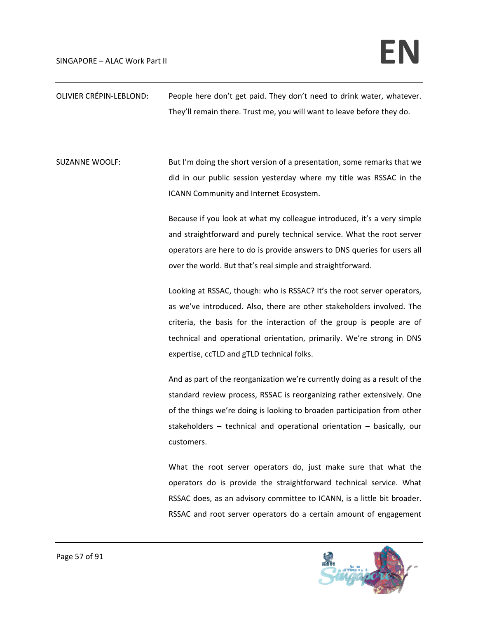| OLIVIER CRÉPIN-LEBLOND: | People here don't get paid. They don't need to drink water, whatever.      |
|-------------------------|----------------------------------------------------------------------------|
|                         | They'll remain there. Trust me, you will want to leave before they do.     |
|                         |                                                                            |
|                         |                                                                            |
| <b>SUZANNE WOOLF:</b>   | But I'm doing the short version of a presentation, some remarks that we    |
|                         | did in our public session yesterday where my title was RSSAC in the        |
|                         | ICANN Community and Internet Ecosystem.                                    |
|                         | Because if you look at what my colleague introduced, it's a very simple    |
|                         | and straightforward and purely technical service. What the root server     |
|                         | operators are here to do is provide answers to DNS queries for users all   |
|                         | over the world. But that's real simple and straightforward.                |
|                         |                                                                            |
|                         | Looking at RSSAC, though: who is RSSAC? It's the root server operators,    |
|                         | as we've introduced. Also, there are other stakeholders involved. The      |
|                         | criteria, the basis for the interaction of the group is people are of      |
|                         | technical and operational orientation, primarily. We're strong in DNS      |
|                         | expertise, ccTLD and gTLD technical folks.                                 |
|                         | And as part of the reorganization we're currently doing as a result of the |
|                         | standard review process, RSSAC is reorganizing rather extensively. One     |
|                         | of the things we're doing is looking to broaden participation from other   |
|                         | stakeholders $-$ technical and operational orientation $-$ basically, our  |
|                         | customers.                                                                 |
|                         |                                                                            |
|                         | What the root server operators do, just make sure that what the            |
|                         | operators do is provide the straightforward technical service. What        |
|                         | RSSAC does, as an advisory committee to ICANN, is a little bit broader.    |
|                         | RSSAC and root server operators do a certain amount of engagement          |

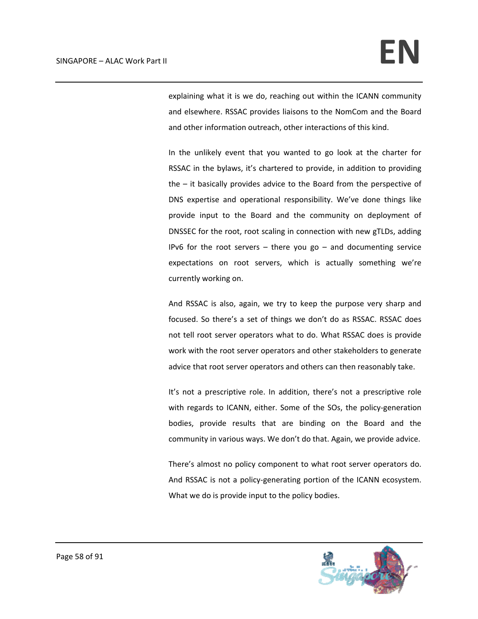explaining what it is we do, reaching out within the ICANN community and elsewhere. RSSAC provides liaisons to the NomCom and the Board and other information outreach, other interactions of this kind.

In the unlikely event that you wanted to go look at the charter for RSSAC in the bylaws, it's chartered to provide, in addition to providing the – it basically provides advice to the Board from the perspective of DNS expertise and operational responsibility. We've done things like provide input to the Board and the community on deployment of DNSSEC for the root, root scaling in connection with new gTLDs, adding IPv6 for the root servers  $-$  there you go  $-$  and documenting service expectations on root servers, which is actually something we're currently working on.

And RSSAC is also, again, we try to keep the purpose very sharp and focused. So there's a set of things we don't do as RSSAC. RSSAC does not tell root server operators what to do. What RSSAC does is provide work with the root server operators and other stakeholders to generate advice that root server operators and others can then reasonably take.

It's not a prescriptive role. In addition, there's not a prescriptive role with regards to ICANN, either. Some of the SOs, the policy-generation bodies, provide results that are binding on the Board and the community in various ways. We don't do that. Again, we provide advice.

There's almost no policy component to what root server operators do. And RSSAC is not a policy‐generating portion of the ICANN ecosystem. What we do is provide input to the policy bodies.

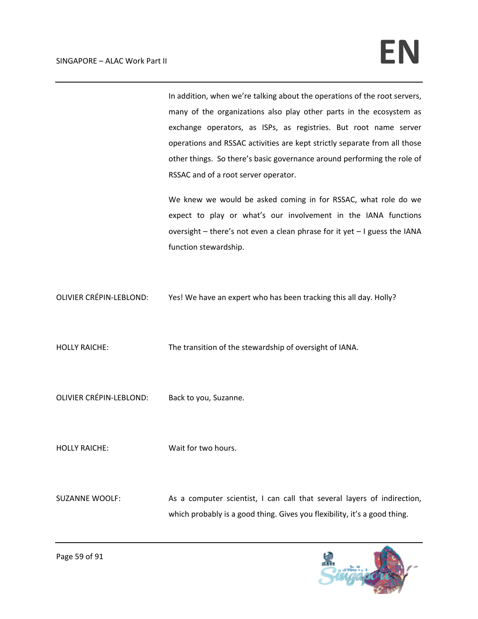In addition, when we're talking about the operations of the root servers, many of the organizations also play other parts in the ecosystem as exchange operators, as ISPs, as registries. But root name server operations and RSSAC activities are kept strictly separate from all those other things. So there's basic governance around performing the role of RSSAC and of a root server operator.

We knew we would be asked coming in for RSSAC, what role do we expect to play or what's our involvement in the IANA functions oversight – there's not even a clean phrase for it yet – I guess the IANA function stewardship.

OLIVIER CRÉPIN‐LEBLOND: Yes! We have an expert who has been tracking this all day. Holly?

HOLLY RAICHE: The transition of the stewardship of oversight of IANA.

OLIVIER CRÉPIN‐LEBLOND: Back to you, Suzanne.

HOLLY RAICHE: Wait for two hours.

SUZANNE WOOLF: As a computer scientist, I can call that several layers of indirection, which probably is a good thing. Gives you flexibility, it's a good thing.

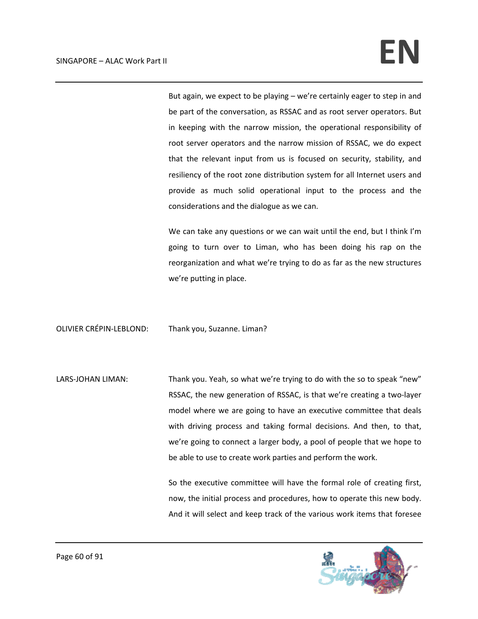But again, we expect to be playing – we're certainly eager to step in and be part of the conversation, as RSSAC and as root server operators. But in keeping with the narrow mission, the operational responsibility of root server operators and the narrow mission of RSSAC, we do expect that the relevant input from us is focused on security, stability, and resiliency of the root zone distribution system for all Internet users and provide as much solid operational input to the process and the considerations and the dialogue as we can.

We can take any questions or we can wait until the end, but I think I'm going to turn over to Liman, who has been doing his rap on the reorganization and what we're trying to do as far as the new structures we're putting in place.

OLIVIER CRÉPIN‐LEBLOND: Thank you, Suzanne. Liman?

LARS-JOHAN LIMAN: Thank you. Yeah, so what we're trying to do with the so to speak "new" RSSAC, the new generation of RSSAC, is that we're creating a two‐layer model where we are going to have an executive committee that deals with driving process and taking formal decisions. And then, to that, we're going to connect a larger body, a pool of people that we hope to be able to use to create work parties and perform the work.

> So the executive committee will have the formal role of creating first, now, the initial process and procedures, how to operate this new body. And it will select and keep track of the various work items that foresee

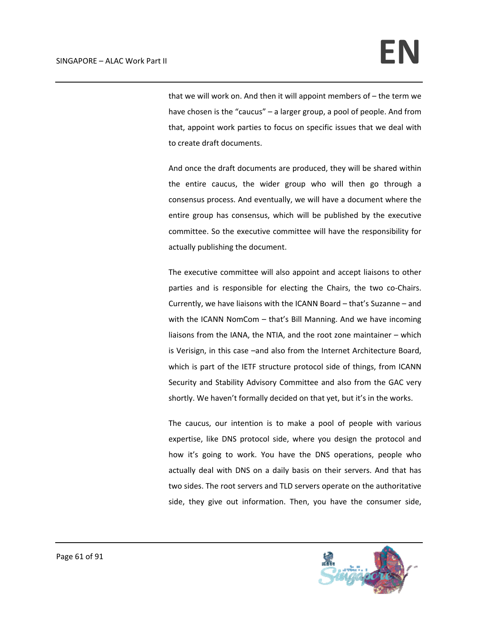that we will work on. And then it will appoint members of – the term we have chosen is the "caucus" – a larger group, a pool of people. And from that, appoint work parties to focus on specific issues that we deal with to create draft documents.

And once the draft documents are produced, they will be shared within the entire caucus, the wider group who will then go through a consensus process. And eventually, we will have a document where the entire group has consensus, which will be published by the executive committee. So the executive committee will have the responsibility for actually publishing the document.

The executive committee will also appoint and accept liaisons to other parties and is responsible for electing the Chairs, the two co‐Chairs. Currently, we have liaisons with the ICANN Board – that's Suzanne – and with the ICANN NomCom – that's Bill Manning. And we have incoming liaisons from the IANA, the NTIA, and the root zone maintainer – which is Verisign, in this case –and also from the Internet Architecture Board, which is part of the IETF structure protocol side of things, from ICANN Security and Stability Advisory Committee and also from the GAC very shortly. We haven't formally decided on that yet, but it's in the works.

The caucus, our intention is to make a pool of people with various expertise, like DNS protocol side, where you design the protocol and how it's going to work. You have the DNS operations, people who actually deal with DNS on a daily basis on their servers. And that has two sides. The root servers and TLD servers operate on the authoritative side, they give out information. Then, you have the consumer side,

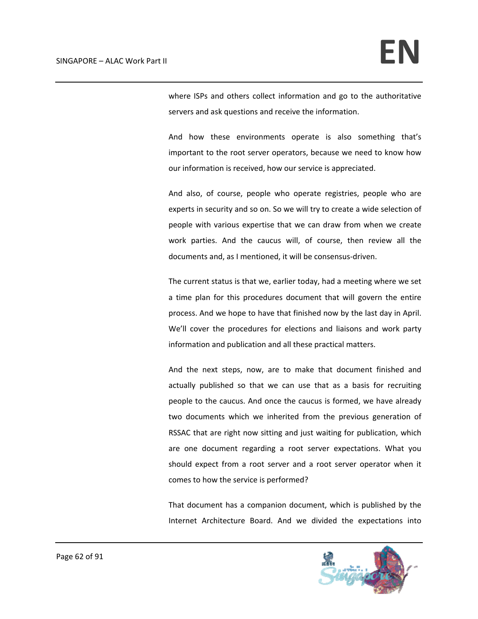where ISPs and others collect information and go to the authoritative servers and ask questions and receive the information.

And how these environments operate is also something that's important to the root server operators, because we need to know how our information is received, how our service is appreciated.

And also, of course, people who operate registries, people who are experts in security and so on. So we will try to create a wide selection of people with various expertise that we can draw from when we create work parties. And the caucus will, of course, then review all the documents and, as I mentioned, it will be consensus‐driven.

The current status is that we, earlier today, had a meeting where we set a time plan for this procedures document that will govern the entire process. And we hope to have that finished now by the last day in April. We'll cover the procedures for elections and liaisons and work party information and publication and all these practical matters.

And the next steps, now, are to make that document finished and actually published so that we can use that as a basis for recruiting people to the caucus. And once the caucus is formed, we have already two documents which we inherited from the previous generation of RSSAC that are right now sitting and just waiting for publication, which are one document regarding a root server expectations. What you should expect from a root server and a root server operator when it comes to how the service is performed?

That document has a companion document, which is published by the Internet Architecture Board. And we divided the expectations into

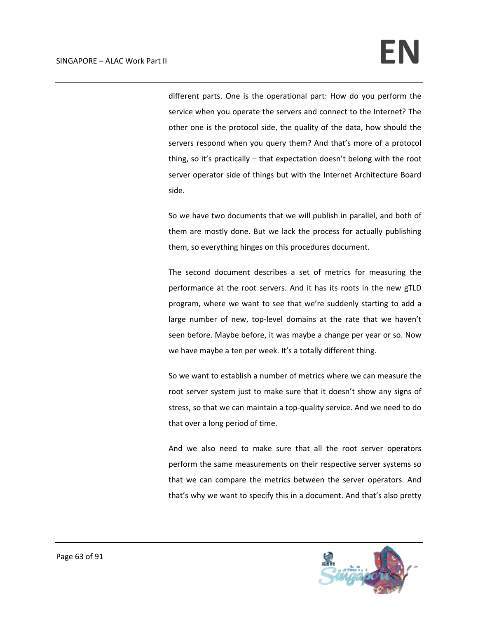different parts. One is the operational part: How do you perform the service when you operate the servers and connect to the Internet? The other one is the protocol side, the quality of the data, how should the servers respond when you query them? And that's more of a protocol thing, so it's practically – that expectation doesn't belong with the root server operator side of things but with the Internet Architecture Board side.

So we have two documents that we will publish in parallel, and both of them are mostly done. But we lack the process for actually publishing them, so everything hinges on this procedures document.

The second document describes a set of metrics for measuring the performance at the root servers. And it has its roots in the new gTLD program, where we want to see that we're suddenly starting to add a large number of new, top-level domains at the rate that we haven't seen before. Maybe before, it was maybe a change per year or so. Now we have maybe a ten per week. It's a totally different thing.

So we want to establish a number of metrics where we can measure the root server system just to make sure that it doesn't show any signs of stress, so that we can maintain a top‐quality service. And we need to do that over a long period of time.

And we also need to make sure that all the root server operators perform the same measurements on their respective server systems so that we can compare the metrics between the server operators. And that's why we want to specify this in a document. And that's also pretty

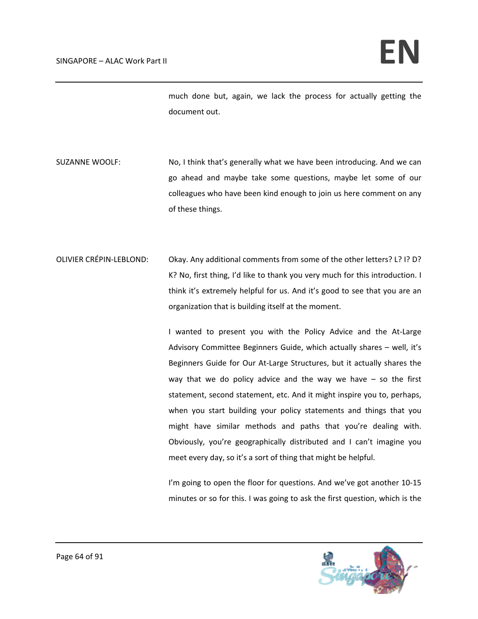much done but, again, we lack the process for actually getting the document out.

- SUZANNE WOOLF: No, I think that's generally what we have been introducing. And we can go ahead and maybe take some questions, maybe let some of our colleagues who have been kind enough to join us here comment on any of these things.
- OLIVIER CRÉPIN-LEBLOND: Okay. Any additional comments from some of the other letters? L? I? D? K? No, first thing, I'd like to thank you very much for this introduction. I think it's extremely helpful for us. And it's good to see that you are an organization that is building itself at the moment.

I wanted to present you with the Policy Advice and the At‐Large Advisory Committee Beginners Guide, which actually shares – well, it's Beginners Guide for Our At‐Large Structures, but it actually shares the way that we do policy advice and the way we have  $-$  so the first statement, second statement, etc. And it might inspire you to, perhaps, when you start building your policy statements and things that you might have similar methods and paths that you're dealing with. Obviously, you're geographically distributed and I can't imagine you meet every day, so it's a sort of thing that might be helpful.

I'm going to open the floor for questions. And we've got another 10-15 minutes or so for this. I was going to ask the first question, which is the

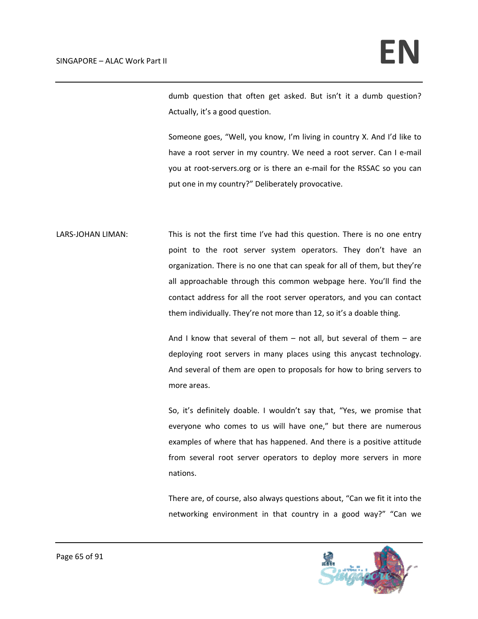dumb question that often get asked. But isn't it a dumb question? Actually, it's a good question.

Someone goes, "Well, you know, I'm living in country X. And I'd like to have a root server in my country. We need a root server. Can I e-mail you at root-servers.org or is there an e-mail for the RSSAC so you can put one in my country?" Deliberately provocative.

LARS-JOHAN LIMAN: This is not the first time I've had this question. There is no one entry point to the root server system operators. They don't have an organization. There is no one that can speak for all of them, but they're all approachable through this common webpage here. You'll find the contact address for all the root server operators, and you can contact them individually. They're not more than 12, so it's a doable thing.

> And I know that several of them  $-$  not all, but several of them  $-$  are deploying root servers in many places using this anycast technology. And several of them are open to proposals for how to bring servers to more areas.

> So, it's definitely doable. I wouldn't say that, "Yes, we promise that everyone who comes to us will have one," but there are numerous examples of where that has happened. And there is a positive attitude from several root server operators to deploy more servers in more nations.

> There are, of course, also always questions about, "Can we fit it into the networking environment in that country in a good way?" "Can we

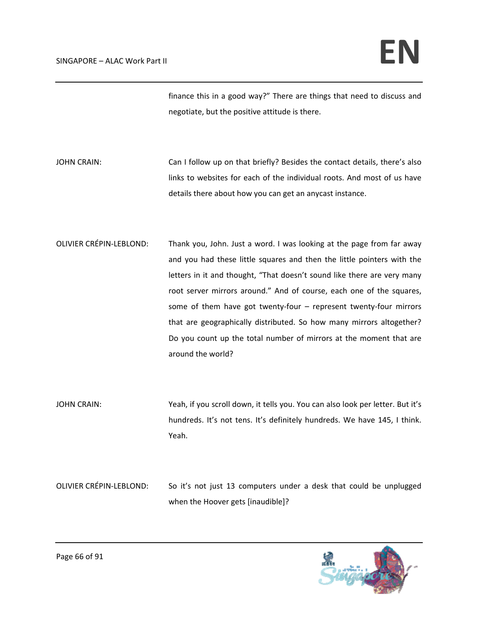finance this in a good way?" There are things that need to discuss and negotiate, but the positive attitude is there.

JOHN CRAIN: Can I follow up on that briefly? Besides the contact details, there's also links to websites for each of the individual roots. And most of us have details there about how you can get an anycast instance.

- OLIVIER CRÉPIN-LEBLOND: Thank you, John. Just a word. I was looking at the page from far away and you had these little squares and then the little pointers with the letters in it and thought, "That doesn't sound like there are very many root server mirrors around." And of course, each one of the squares, some of them have got twenty-four – represent twenty-four mirrors that are geographically distributed. So how many mirrors altogether? Do you count up the total number of mirrors at the moment that are around the world?
- JOHN CRAIN: Yeah, if you scroll down, it tells you. You can also look per letter. But it's hundreds. It's not tens. It's definitely hundreds. We have 145, I think. Yeah.

OLIVIER CRÉPIN‐LEBLOND: So it's not just 13 computers under a desk that could be unplugged when the Hoover gets [inaudible]?

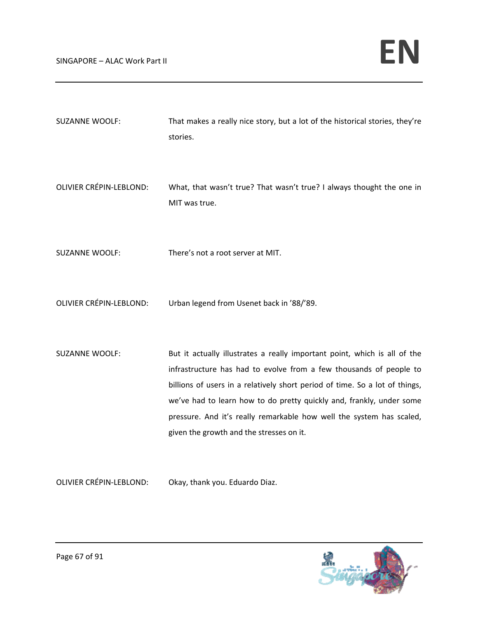| <b>SUZANNE WOOLF:</b>          | That makes a really nice story, but a lot of the historical stories, they're<br>stories.                                                                                                                                                                                                                                                                                                                                   |
|--------------------------------|----------------------------------------------------------------------------------------------------------------------------------------------------------------------------------------------------------------------------------------------------------------------------------------------------------------------------------------------------------------------------------------------------------------------------|
| OLIVIER CRÉPIN-LEBLOND:        | What, that wasn't true? That wasn't true? I always thought the one in<br>MIT was true.                                                                                                                                                                                                                                                                                                                                     |
| <b>SUZANNE WOOLF:</b>          | There's not a root server at MIT.                                                                                                                                                                                                                                                                                                                                                                                          |
| <b>OLIVIER CRÉPIN-LEBLOND:</b> | Urban legend from Usenet back in '88/'89.                                                                                                                                                                                                                                                                                                                                                                                  |
| <b>SUZANNE WOOLF:</b>          | But it actually illustrates a really important point, which is all of the<br>infrastructure has had to evolve from a few thousands of people to<br>billions of users in a relatively short period of time. So a lot of things,<br>we've had to learn how to do pretty quickly and, frankly, under some<br>pressure. And it's really remarkable how well the system has scaled,<br>given the growth and the stresses on it. |

OLIVIER CRÉPIN‐LEBLOND: Okay, thank you. Eduardo Diaz.

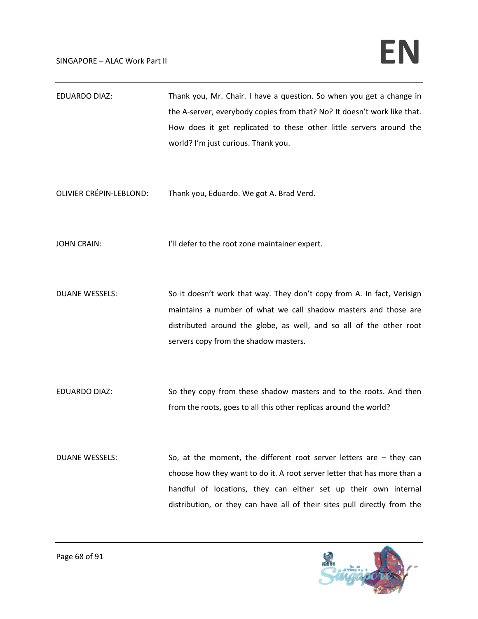## $SINGAPORE - ALAC Work Part II$

EDUARDO DIAZ: Thank you, Mr. Chair. I have a question. So when you get a change in the A-server, everybody copies from that? No? It doesn't work like that. How does it get replicated to these other little servers around the world? I'm just curious. Thank you.

OLIVIER CRÉPIN‐LEBLOND: Thank you, Eduardo. We got A. Brad Verd.

JOHN CRAIN: I'll defer to the root zone maintainer expert.

DUANE WESSELS: So it doesn't work that way. They don't copy from A. In fact, Verisign maintains a number of what we call shadow masters and those are distributed around the globe, as well, and so all of the other root servers copy from the shadow masters.

EDUARDO DIAZ: So they copy from these shadow masters and to the roots. And then from the roots, goes to all this other replicas around the world?

DUANE WESSELS: So, at the moment, the different root server letters are – they can choose how they want to do it. A root server letter that has more than a handful of locations, they can either set up their own internal distribution, or they can have all of their sites pull directly from the

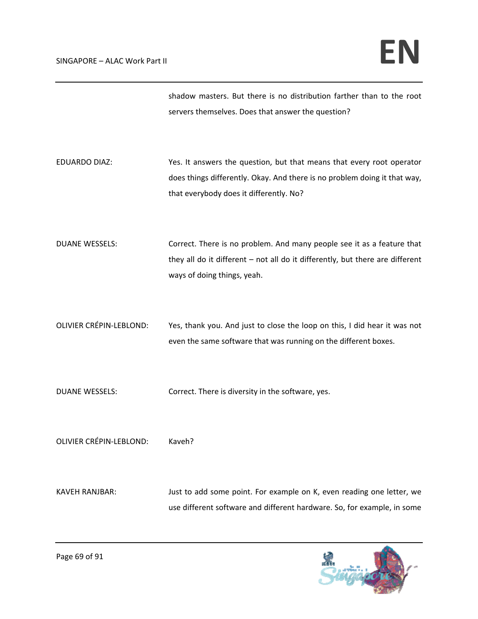shadow masters. But there is no distribution farther than to the root servers themselves. Does that answer the question?

- EDUARDO DIAZ: Yes. It answers the question, but that means that every root operator does things differently. Okay. And there is no problem doing it that way, that everybody does it differently. No?
- DUANE WESSELS: Correct. There is no problem. And many people see it as a feature that they all do it different – not all do it differently, but there are different ways of doing things, yeah.
- OLIVIER CRÉPIN‐LEBLOND: Yes, thank you. And just to close the loop on this, I did hear it was not even the same software that was running on the different boxes.
- DUANE WESSELS: Correct. There is diversity in the software, yes.

OLIVIER CRÉPIN‐LEBLOND: Kaveh?

KAVEH RANJBAR: Just to add some point. For example on K, even reading one letter, we use different software and different hardware. So, for example, in some

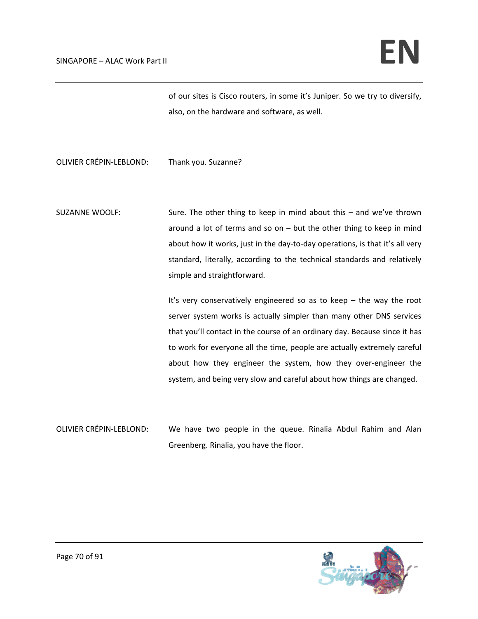of our sites is Cisco routers, in some it's Juniper. So we try to diversify, also, on the hardware and software, as well.

OLIVIER CRÉPIN‐LEBLOND: Thank you. Suzanne?

SUZANNE WOOLF: Sure. The other thing to keep in mind about this – and we've thrown around a lot of terms and so on  $-$  but the other thing to keep in mind about how it works, just in the day-to-day operations, is that it's all very standard, literally, according to the technical standards and relatively simple and straightforward.

> It's very conservatively engineered so as to keep – the way the root server system works is actually simpler than many other DNS services that you'll contact in the course of an ordinary day. Because since it has to work for everyone all the time, people are actually extremely careful about how they engineer the system, how they over-engineer the system, and being very slow and careful about how things are changed.

OLIVIER CRÉPIN‐LEBLOND: We have two people in the queue. Rinalia Abdul Rahim and Alan Greenberg. Rinalia, you have the floor.

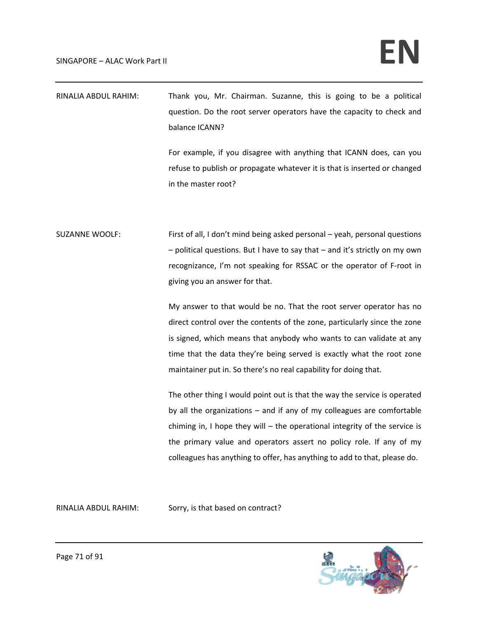| RINALIA ABDUL RAHIM: | Thank you, Mr. Chairman. Suzanne, this is going to be a political     |
|----------------------|-----------------------------------------------------------------------|
|                      | question. Do the root server operators have the capacity to check and |
|                      | balance ICANN?                                                        |

For example, if you disagree with anything that ICANN does, can you refuse to publish or propagate whatever it is that is inserted or changed in the master root?

SUZANNE WOOLF: First of all, I don't mind being asked personal – yeah, personal questions – political questions. But I have to say that – and it's strictly on my own recognizance, I'm not speaking for RSSAC or the operator of F‐root in giving you an answer for that.

> My answer to that would be no. That the root server operator has no direct control over the contents of the zone, particularly since the zone is signed, which means that anybody who wants to can validate at any time that the data they're being served is exactly what the root zone maintainer put in. So there's no real capability for doing that.

> The other thing I would point out is that the way the service is operated by all the organizations – and if any of my colleagues are comfortable chiming in, I hope they will – the operational integrity of the service is the primary value and operators assert no policy role. If any of my colleagues has anything to offer, has anything to add to that, please do.

RINALIA ABDUL RAHIM: Sorry, is that based on contract?

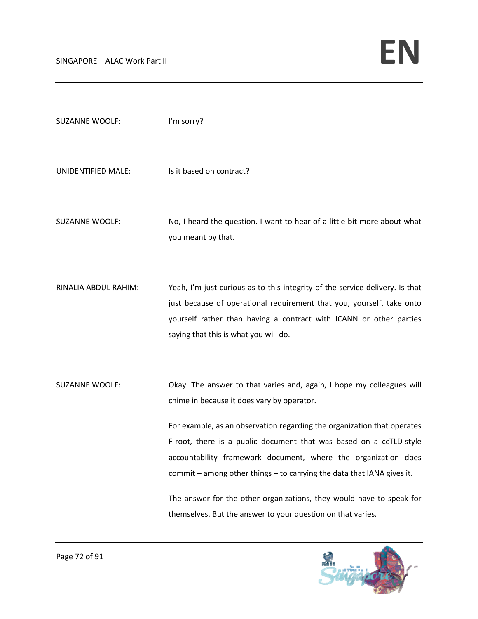| <b>SUZANNE WOOLF:</b> | I'm sorry?                                                                                                                                                                                                                                                                                |
|-----------------------|-------------------------------------------------------------------------------------------------------------------------------------------------------------------------------------------------------------------------------------------------------------------------------------------|
| UNIDENTIFIED MALE:    | Is it based on contract?                                                                                                                                                                                                                                                                  |
| <b>SUZANNE WOOLF:</b> | No, I heard the question. I want to hear of a little bit more about what<br>you meant by that.                                                                                                                                                                                            |
| RINALIA ABDUL RAHIM:  | Yeah, I'm just curious as to this integrity of the service delivery. Is that<br>just because of operational requirement that you, yourself, take onto<br>yourself rather than having a contract with ICANN or other parties<br>saying that this is what you will do.                      |
| <b>SUZANNE WOOLF:</b> | Okay. The answer to that varies and, again, I hope my colleagues will<br>chime in because it does vary by operator.                                                                                                                                                                       |
|                       | For example, as an observation regarding the organization that operates<br>F-root, there is a public document that was based on a ccTLD-style<br>accountability framework document, where the organization does<br>commit - among other things - to carrying the data that IANA gives it. |
|                       | The answer for the other organizations, they would have to speak for<br>themselves. But the answer to your question on that varies.                                                                                                                                                       |

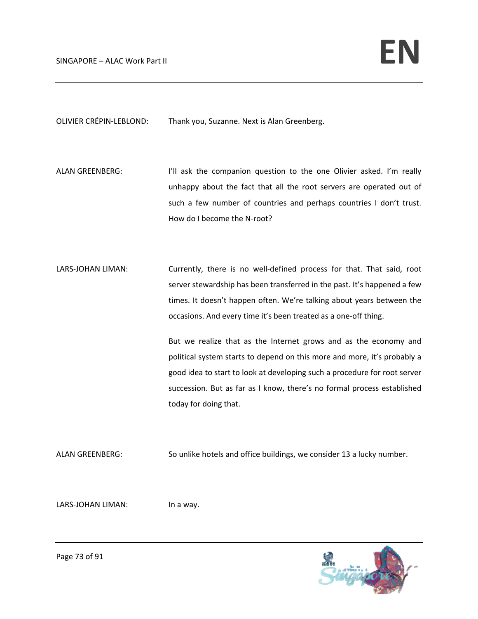OLIVIER CRÉPIN‐LEBLOND: Thank you, Suzanne. Next is Alan Greenberg.

ALAN GREENBERG: I'll ask the companion question to the one Olivier asked. I'm really unhappy about the fact that all the root servers are operated out of such a few number of countries and perhaps countries I don't trust. How do I become the N-root?

LARS-JOHAN LIMAN: Currently, there is no well-defined process for that. That said, root server stewardship has been transferred in the past. It's happened a few times. It doesn't happen often. We're talking about years between the occasions. And every time it's been treated as a one‐off thing.

> But we realize that as the Internet grows and as the economy and political system starts to depend on this more and more, it's probably a good idea to start to look at developing such a procedure for root server succession. But as far as I know, there's no formal process established today for doing that.

ALAN GREENBERG: So unlike hotels and office buildings, we consider 13 a lucky number.

LARS-JOHAN LIMAN: In a way.

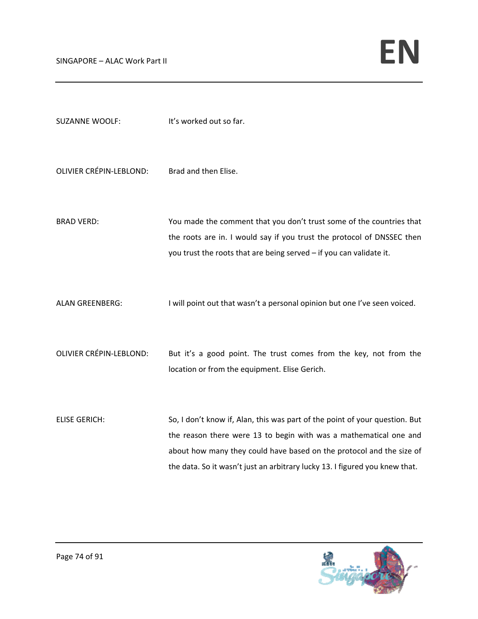| <b>SUZANNE WOOLF:</b>          | It's worked out so far.                                                                                                                                                                                                                                                                                 |
|--------------------------------|---------------------------------------------------------------------------------------------------------------------------------------------------------------------------------------------------------------------------------------------------------------------------------------------------------|
| <b>OLIVIER CRÉPIN-LEBLOND:</b> | Brad and then Elise.                                                                                                                                                                                                                                                                                    |
| <b>BRAD VERD:</b>              | You made the comment that you don't trust some of the countries that<br>the roots are in. I would say if you trust the protocol of DNSSEC then<br>you trust the roots that are being served - if you can validate it.                                                                                   |
| <b>ALAN GREENBERG:</b>         | I will point out that wasn't a personal opinion but one I've seen voiced.                                                                                                                                                                                                                               |
| <b>OLIVIER CRÉPIN-LEBLOND:</b> | But it's a good point. The trust comes from the key, not from the<br>location or from the equipment. Elise Gerich.                                                                                                                                                                                      |
| <b>ELISE GERICH:</b>           | So, I don't know if, Alan, this was part of the point of your question. But<br>the reason there were 13 to begin with was a mathematical one and<br>about how many they could have based on the protocol and the size of<br>the data. So it wasn't just an arbitrary lucky 13. I figured you knew that. |

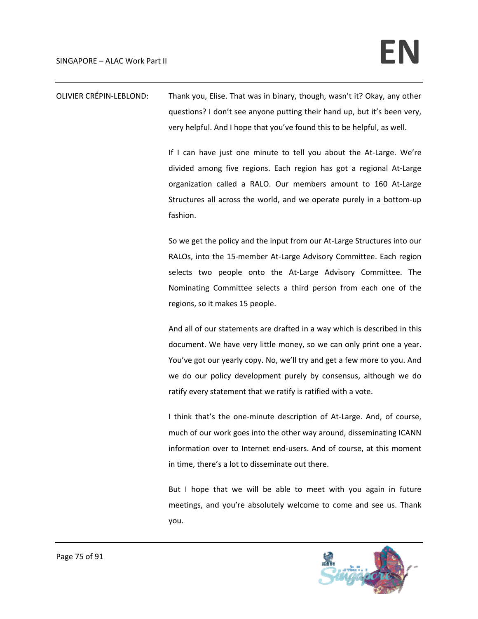OLIVIER CRÉPIN‐LEBLOND: Thank you, Elise. That was in binary, though, wasn't it? Okay, any other questions? I don't see anyone putting their hand up, but it's been very, very helpful. And I hope that you've found this to be helpful, as well.

> If I can have just one minute to tell you about the At‐Large. We're divided among five regions. Each region has got a regional At‐Large organization called a RALO. Our members amount to 160 At‐Large Structures all across the world, and we operate purely in a bottom‐up fashion.

> So we get the policy and the input from our At‐Large Structures into our RALOs, into the 15‐member At‐Large Advisory Committee. Each region selects two people onto the At-Large Advisory Committee. The Nominating Committee selects a third person from each one of the regions, so it makes 15 people.

> And all of our statements are drafted in a way which is described in this document. We have very little money, so we can only print one a year. You've got our yearly copy. No, we'll try and get a few more to you. And we do our policy development purely by consensus, although we do ratify every statement that we ratify is ratified with a vote.

> I think that's the one-minute description of At-Large. And, of course, much of our work goes into the other way around, disseminating ICANN information over to Internet end‐users. And of course, at this moment in time, there's a lot to disseminate out there.

> But I hope that we will be able to meet with you again in future meetings, and you're absolutely welcome to come and see us. Thank you.

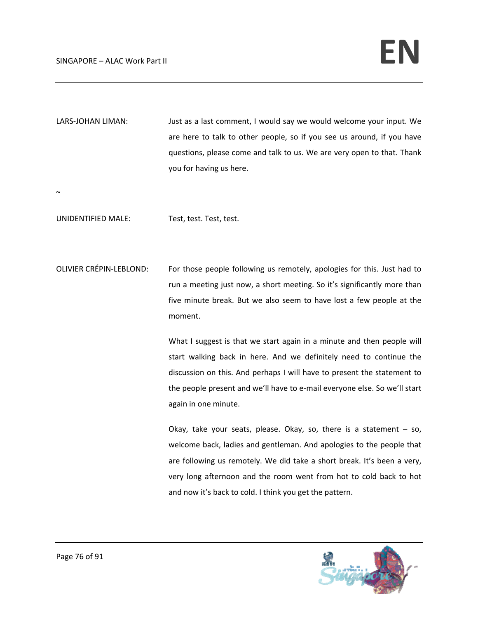LARS-JOHAN LIMAN: Just as a last comment, I would say we would welcome your input. We are here to talk to other people, so if you see us around, if you have questions, please come and talk to us. We are very open to that. Thank you for having us here.

 $\sim$ 

UNIDENTIFIED MALE: Test, test. Test, test.

OLIVIER CRÉPIN‐LEBLOND: For those people following us remotely, apologies for this. Just had to run a meeting just now, a short meeting. So it's significantly more than five minute break. But we also seem to have lost a few people at the moment.

> What I suggest is that we start again in a minute and then people will start walking back in here. And we definitely need to continue the discussion on this. And perhaps I will have to present the statement to the people present and we'll have to e‐mail everyone else. So we'll start again in one minute.

> Okay, take your seats, please. Okay, so, there is a statement  $-$  so, welcome back, ladies and gentleman. And apologies to the people that are following us remotely. We did take a short break. It's been a very, very long afternoon and the room went from hot to cold back to hot and now it's back to cold. I think you get the pattern.

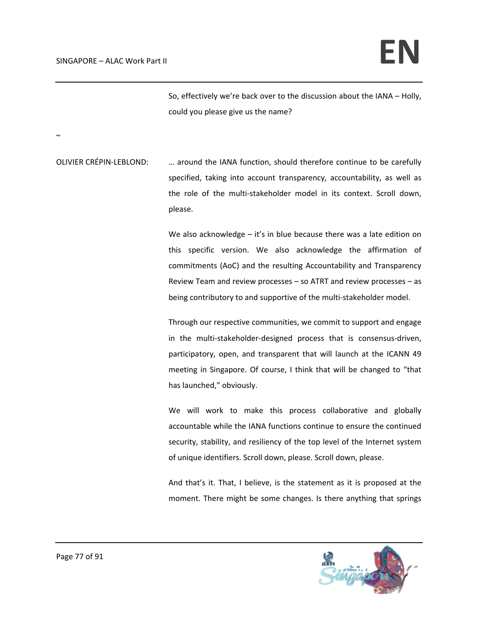~

So, effectively we're back over to the discussion about the IANA – Holly, could you please give us the name?

OLIVIER CRÉPIN‐LEBLOND: … around the IANA function, should therefore continue to be carefully specified, taking into account transparency, accountability, as well as the role of the multi‐stakeholder model in its context. Scroll down, please.

> We also acknowledge – it's in blue because there was a late edition on this specific version. We also acknowledge the affirmation of commitments (AoC) and the resulting Accountability and Transparency Review Team and review processes – so ATRT and review processes – as being contributory to and supportive of the multi‐stakeholder model.

> Through our respective communities, we commit to support and engage in the multi-stakeholder-designed process that is consensus-driven, participatory, open, and transparent that will launch at the ICANN 49 meeting in Singapore. Of course, I think that will be changed to "that has launched," obviously.

> We will work to make this process collaborative and globally accountable while the IANA functions continue to ensure the continued security, stability, and resiliency of the top level of the Internet system of unique identifiers. Scroll down, please. Scroll down, please.

> And that's it. That, I believe, is the statement as it is proposed at the moment. There might be some changes. Is there anything that springs

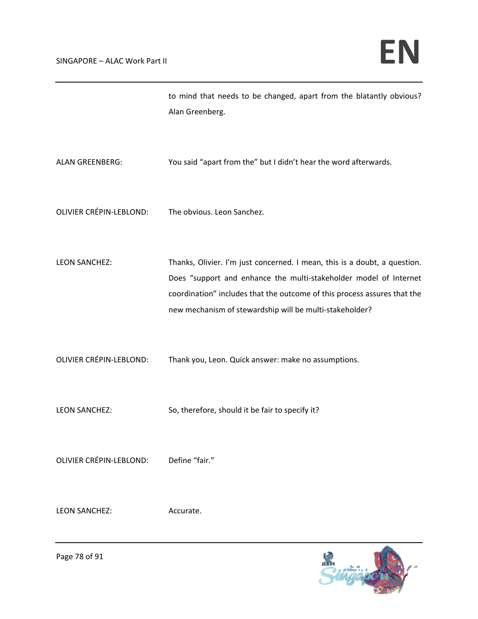to mind that needs to be changed, apart from the blatantly obvious? Alan Greenberg. ALAN GREENBERG: You said "apart from the" but I didn't hear the word afterwards.

- OLIVIER CRÉPIN‐LEBLOND: The obvious. Leon Sanchez.
- LEON SANCHEZ: Thanks, Olivier. I'm just concerned. I mean, this is a doubt, a question. Does "support and enhance the multi-stakeholder model of Internet coordination" includes that the outcome of this process assures that the new mechanism of stewardship will be multi‐stakeholder?
- OLIVIER CRÉPIN‐LEBLOND: Thank you, Leon. Quick answer: make no assumptions.
- LEON SANCHEZ: So, therefore, should it be fair to specify it?

OLIVIER CRÉPIN‐LEBLOND: Define "fair."

LEON SANCHEZ: Accurate.

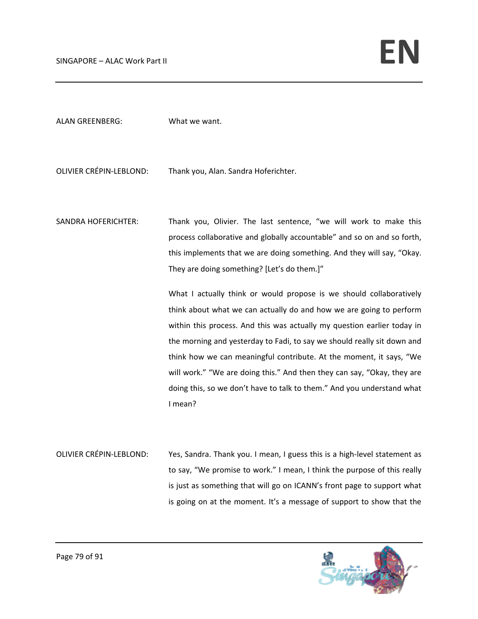| <b>ALAN GREENBERG:</b>     | What we want.                                                                                                                                                                                                                                                                                                                                                                                                                                                                                                                           |
|----------------------------|-----------------------------------------------------------------------------------------------------------------------------------------------------------------------------------------------------------------------------------------------------------------------------------------------------------------------------------------------------------------------------------------------------------------------------------------------------------------------------------------------------------------------------------------|
| OLIVIER CRÉPIN-LEBLOND:    | Thank you, Alan. Sandra Hoferichter.                                                                                                                                                                                                                                                                                                                                                                                                                                                                                                    |
| <b>SANDRA HOFERICHTER:</b> | Thank you, Olivier. The last sentence, "we will work to make this<br>process collaborative and globally accountable" and so on and so forth,<br>this implements that we are doing something. And they will say, "Okay.<br>They are doing something? [Let's do them.]"                                                                                                                                                                                                                                                                   |
|                            | What I actually think or would propose is we should collaboratively<br>think about what we can actually do and how we are going to perform<br>within this process. And this was actually my question earlier today in<br>the morning and yesterday to Fadi, to say we should really sit down and<br>think how we can meaningful contribute. At the moment, it says, "We<br>will work." "We are doing this." And then they can say, "Okay, they are<br>doing this, so we don't have to talk to them." And you understand what<br>I mean? |

OLIVIER CRÉPIN‐LEBLOND: Yes, Sandra. Thank you. I mean, I guess this is a high‐level statement as to say, "We promise to work." I mean, I think the purpose of this really is just as something that will go on ICANN's front page to support what is going on at the moment. It's a message of support to show that the

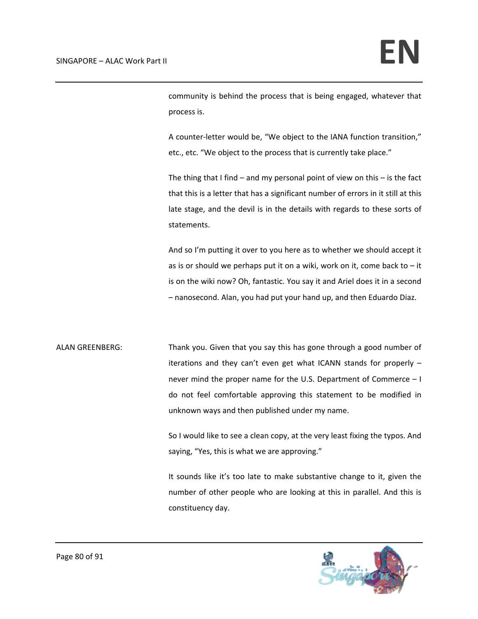community is behind the process that is being engaged, whatever that process is.

A counter‐letter would be, "We object to the IANA function transition," etc., etc. "We object to the process that is currently take place."

The thing that I find – and my personal point of view on this – is the fact that this is a letter that has a significant number of errors in it still at this late stage, and the devil is in the details with regards to these sorts of statements.

And so I'm putting it over to you here as to whether we should accept it as is or should we perhaps put it on a wiki, work on it, come back to  $-$  it is on the wiki now? Oh, fantastic. You say it and Ariel does it in a second – nanosecond. Alan, you had put your hand up, and then Eduardo Diaz.

ALAN GREENBERG: Thank you. Given that you say this has gone through a good number of iterations and they can't even get what ICANN stands for properly – never mind the proper name for the U.S. Department of Commerce – I do not feel comfortable approving this statement to be modified in unknown ways and then published under my name.

> So I would like to see a clean copy, at the very least fixing the typos. And saying, "Yes, this is what we are approving."

> It sounds like it's too late to make substantive change to it, given the number of other people who are looking at this in parallel. And this is constituency day.

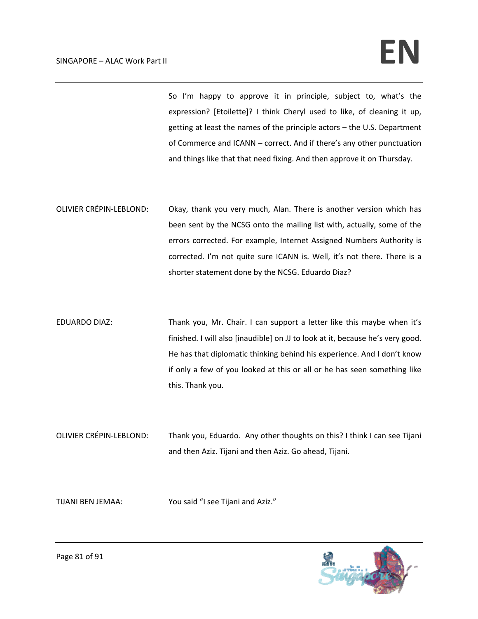## $SINGAPORE - ALAC Work Part II$

So I'm happy to approve it in principle, subject to, what's the expression? [Etoilette]? I think Cheryl used to like, of cleaning it up, getting at least the names of the principle actors – the U.S. Department of Commerce and ICANN – correct. And if there's any other punctuation and things like that that need fixing. And then approve it on Thursday.

OLIVIER CRÉPIN‐LEBLOND: Okay, thank you very much, Alan. There is another version which has been sent by the NCSG onto the mailing list with, actually, some of the errors corrected. For example, Internet Assigned Numbers Authority is corrected. I'm not quite sure ICANN is. Well, it's not there. There is a shorter statement done by the NCSG. Eduardo Diaz?

EDUARDO DIAZ: Thank you, Mr. Chair. I can support a letter like this maybe when it's finished. I will also [inaudible] on JJ to look at it, because he's very good. He has that diplomatic thinking behind his experience. And I don't know if only a few of you looked at this or all or he has seen something like this. Thank you.

OLIVIER CRÉPIN‐LEBLOND: Thank you, Eduardo. Any other thoughts on this? I think I can see Tijani and then Aziz. Tijani and then Aziz. Go ahead, Tijani.

TIJANI BEN JEMAA: You said "I see Tijani and Aziz."

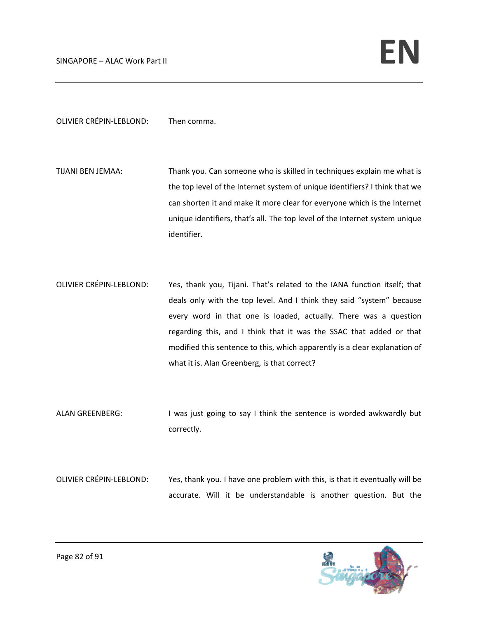OLIVIER CRÉPIN‐LEBLOND: Then comma.

- TIJANI BEN JEMAA: Thank you. Can someone who is skilled in techniques explain me what is the top level of the Internet system of unique identifiers? I think that we can shorten it and make it more clear for everyone which is the Internet unique identifiers, that's all. The top level of the Internet system unique identifier.
- OLIVIER CRÉPIN‐LEBLOND: Yes, thank you, Tijani. That's related to the IANA function itself; that deals only with the top level. And I think they said "system" because every word in that one is loaded, actually. There was a question regarding this, and I think that it was the SSAC that added or that modified this sentence to this, which apparently is a clear explanation of what it is. Alan Greenberg, is that correct?
- ALAN GREENBERG: I was just going to say I think the sentence is worded awkwardly but correctly.
- OLIVIER CRÉPIN‐LEBLOND: Yes, thank you. I have one problem with this, is that it eventually will be accurate. Will it be understandable is another question. But the

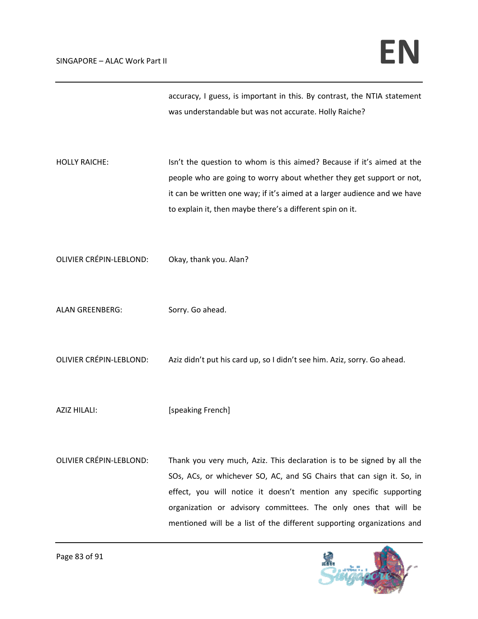accuracy, I guess, is important in this. By contrast, the NTIA statement was understandable but was not accurate. Holly Raiche?

- HOLLY RAICHE: Isn't the question to whom is this aimed? Because if it's aimed at the people who are going to worry about whether they get support or not, it can be written one way; if it's aimed at a larger audience and we have to explain it, then maybe there's a different spin on it.
- OLIVIER CRÉPIN‐LEBLOND: Okay, thank you. Alan?
- ALAN GREENBERG: Sorry. Go ahead.
- OLIVIER CRÉPIN‐LEBLOND: Aziz didn't put his card up, so I didn't see him. Aziz, sorry. Go ahead.
- AZIZ HILALI: [speaking French]
- OLIVIER CRÉPIN‐LEBLOND: Thank you very much, Aziz. This declaration is to be signed by all the SOs, ACs, or whichever SO, AC, and SG Chairs that can sign it. So, in effect, you will notice it doesn't mention any specific supporting organization or advisory committees. The only ones that will be mentioned will be a list of the different supporting organizations and

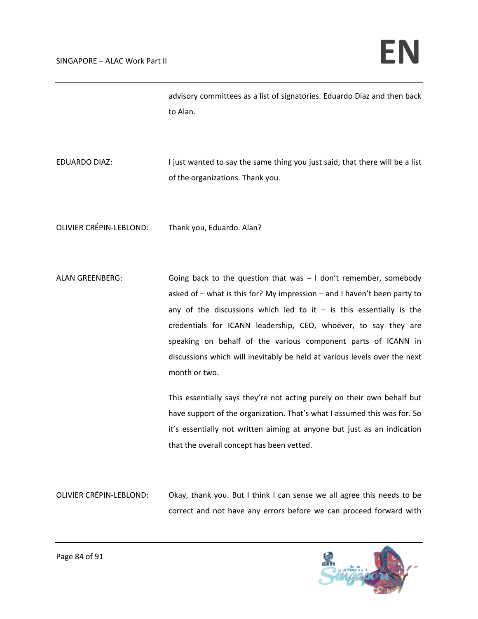advisory committees as a list of signatories. Eduardo Diaz and then back to Alan.

EDUARDO DIAZ: I just wanted to say the same thing you just said, that there will be a list of the organizations. Thank you.

OLIVIER CRÉPIN‐LEBLOND: Thank you, Eduardo. Alan?

ALAN GREENBERG: Going back to the question that was – I don't remember, somebody asked of – what is this for? My impression – and I haven't been party to any of the discussions which led to it  $-$  is this essentially is the credentials for ICANN leadership, CEO, whoever, to say they are speaking on behalf of the various component parts of ICANN in discussions which will inevitably be held at various levels over the next month or two.

> This essentially says they're not acting purely on their own behalf but have support of the organization. That's what I assumed this was for. So it's essentially not written aiming at anyone but just as an indication that the overall concept has been vetted.

OLIVIER CRÉPIN‐LEBLOND: Okay, thank you. But I think I can sense we all agree this needs to be correct and not have any errors before we can proceed forward with

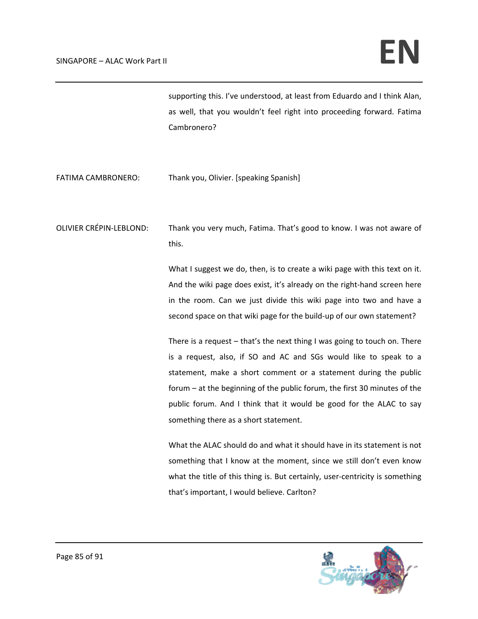supporting this. I've understood, at least from Eduardo and I think Alan, as well, that you wouldn't feel right into proceeding forward. Fatima Cambronero?

FATIMA CAMBRONERO: Thank you, Olivier. [speaking Spanish]

OLIVIER CRÉPIN‐LEBLOND: Thank you very much, Fatima. That's good to know. I was not aware of this.

> What I suggest we do, then, is to create a wiki page with this text on it. And the wiki page does exist, it's already on the right‐hand screen here in the room. Can we just divide this wiki page into two and have a second space on that wiki page for the build-up of our own statement?

> There is a request – that's the next thing I was going to touch on. There is a request, also, if SO and AC and SGs would like to speak to a statement, make a short comment or a statement during the public forum – at the beginning of the public forum, the first 30 minutes of the public forum. And I think that it would be good for the ALAC to say something there as a short statement.

> What the ALAC should do and what it should have in its statement is not something that I know at the moment, since we still don't even know what the title of this thing is. But certainly, user-centricity is something that's important, I would believe. Carlton?

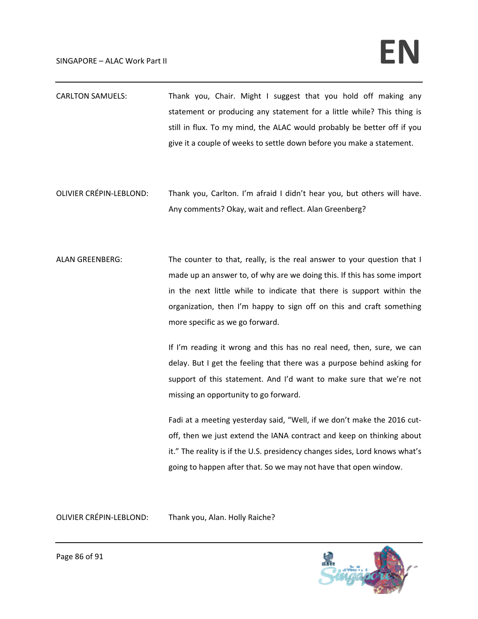## $SINGAPORE - ALAC Work Part II$

- CARLTON SAMUELS: Thank you, Chair. Might I suggest that you hold off making any statement or producing any statement for a little while? This thing is still in flux. To my mind, the ALAC would probably be better off if you give it a couple of weeks to settle down before you make a statement.
- OLIVIER CRÉPIN‐LEBLOND: Thank you, Carlton. I'm afraid I didn't hear you, but others will have. Any comments? Okay, wait and reflect. Alan Greenberg?
- ALAN GREENBERG: The counter to that, really, is the real answer to your question that I made up an answer to, of why are we doing this. If this has some import in the next little while to indicate that there is support within the organization, then I'm happy to sign off on this and craft something more specific as we go forward.

If I'm reading it wrong and this has no real need, then, sure, we can delay. But I get the feeling that there was a purpose behind asking for support of this statement. And I'd want to make sure that we're not missing an opportunity to go forward.

Fadi at a meeting yesterday said, "Well, if we don't make the 2016 cut‐ off, then we just extend the IANA contract and keep on thinking about it." The reality is if the U.S. presidency changes sides, Lord knows what's going to happen after that. So we may not have that open window.

OLIVIER CRÉPIN‐LEBLOND: Thank you, Alan. Holly Raiche?

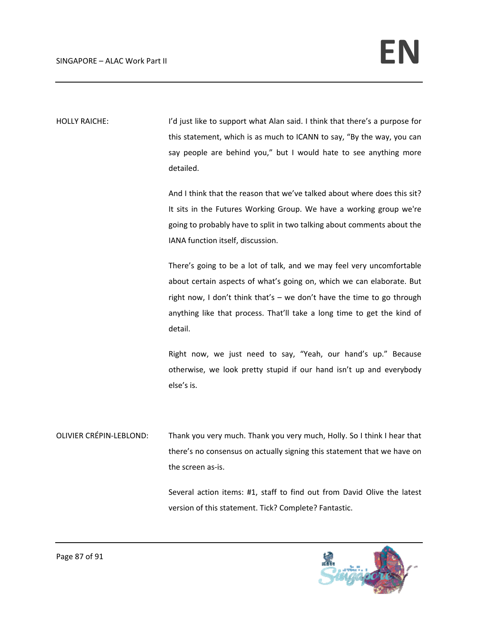HOLLY RAICHE: I'd just like to support what Alan said. I think that there's a purpose for this statement, which is as much to ICANN to say, "By the way, you can say people are behind you," but I would hate to see anything more detailed.

> And I think that the reason that we've talked about where does this sit? It sits in the Futures Working Group. We have a working group we're going to probably have to split in two talking about comments about the IANA function itself, discussion.

> There's going to be a lot of talk, and we may feel very uncomfortable about certain aspects of what's going on, which we can elaborate. But right now, I don't think that's – we don't have the time to go through anything like that process. That'll take a long time to get the kind of detail.

> Right now, we just need to say, "Yeah, our hand's up." Because otherwise, we look pretty stupid if our hand isn't up and everybody else's is.

OLIVIER CRÉPIN‐LEBLOND: Thank you very much. Thank you very much, Holly. So I think I hear that there's no consensus on actually signing this statement that we have on the screen as‐is.

> Several action items: #1, staff to find out from David Olive the latest version of this statement. Tick? Complete? Fantastic.

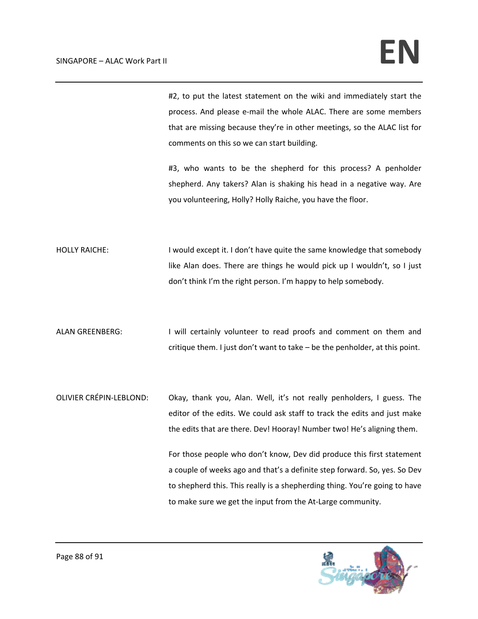#2, to put the latest statement on the wiki and immediately start the process. And please e‐mail the whole ALAC. There are some members that are missing because they're in other meetings, so the ALAC list for comments on this so we can start building.

#3, who wants to be the shepherd for this process? A penholder shepherd. Any takers? Alan is shaking his head in a negative way. Are you volunteering, Holly? Holly Raiche, you have the floor.

HOLLY RAICHE: I would except it. I don't have quite the same knowledge that somebody like Alan does. There are things he would pick up I wouldn't, so I just don't think I'm the right person. I'm happy to help somebody.

ALAN GREENBERG: I will certainly volunteer to read proofs and comment on them and critique them. I just don't want to take – be the penholder, at this point.

OLIVIER CRÉPIN‐LEBLOND: Okay, thank you, Alan. Well, it's not really penholders, I guess. The editor of the edits. We could ask staff to track the edits and just make the edits that are there. Dev! Hooray! Number two! He's aligning them.

> For those people who don't know, Dev did produce this first statement a couple of weeks ago and that's a definite step forward. So, yes. So Dev to shepherd this. This really is a shepherding thing. You're going to have to make sure we get the input from the At‐Large community.

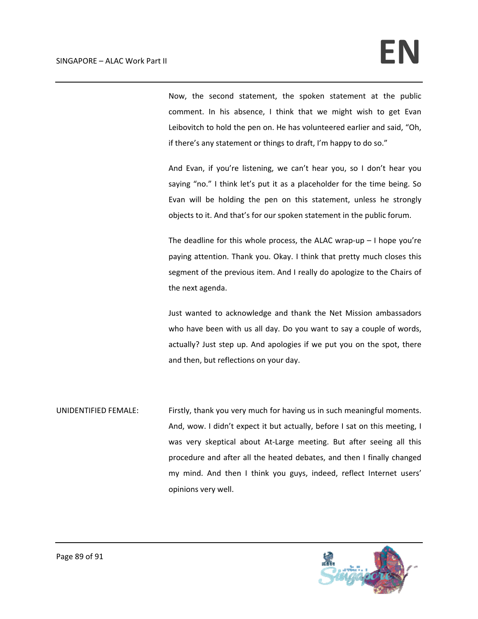Now, the second statement, the spoken statement at the public comment. In his absence, I think that we might wish to get Evan Leibovitch to hold the pen on. He has volunteered earlier and said, "Oh, if there's any statement or things to draft, I'm happy to do so."

And Evan, if you're listening, we can't hear you, so I don't hear you saying "no." I think let's put it as a placeholder for the time being. So Evan will be holding the pen on this statement, unless he strongly objects to it. And that's for our spoken statement in the public forum.

The deadline for this whole process, the ALAC wrap-up  $-1$  hope you're paying attention. Thank you. Okay. I think that pretty much closes this segment of the previous item. And I really do apologize to the Chairs of the next agenda.

Just wanted to acknowledge and thank the Net Mission ambassadors who have been with us all day. Do you want to say a couple of words, actually? Just step up. And apologies if we put you on the spot, there and then, but reflections on your day.

UNIDENTIFIED FEMALE: Firstly, thank you very much for having us in such meaningful moments. And, wow. I didn't expect it but actually, before I sat on this meeting, I was very skeptical about At-Large meeting. But after seeing all this procedure and after all the heated debates, and then I finally changed my mind. And then I think you guys, indeed, reflect Internet users' opinions very well.

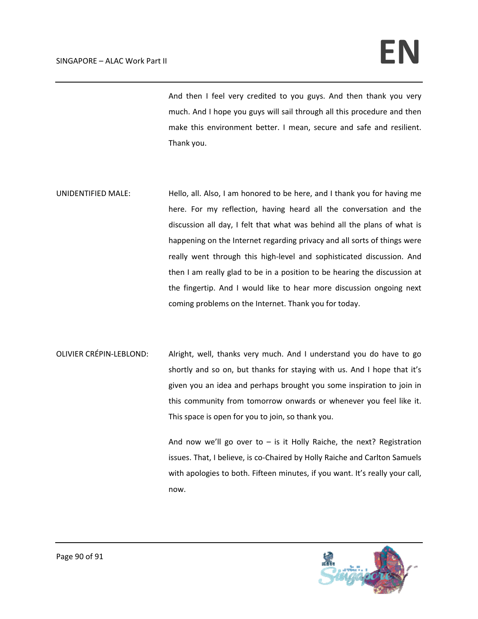And then I feel very credited to you guys. And then thank you very much. And I hope you guys will sail through all this procedure and then make this environment better. I mean, secure and safe and resilient. Thank you.

- UNIDENTIFIED MALE: Hello, all. Also, I am honored to be here, and I thank you for having me here. For my reflection, having heard all the conversation and the discussion all day, I felt that what was behind all the plans of what is happening on the Internet regarding privacy and all sorts of things were really went through this high-level and sophisticated discussion. And then I am really glad to be in a position to be hearing the discussion at the fingertip. And I would like to hear more discussion ongoing next coming problems on the Internet. Thank you for today.
- OLIVIER CRÉPIN‐LEBLOND: Alright, well, thanks very much. And I understand you do have to go shortly and so on, but thanks for staying with us. And I hope that it's given you an idea and perhaps brought you some inspiration to join in this community from tomorrow onwards or whenever you feel like it. This space is open for you to join, so thank you.

And now we'll go over to  $-$  is it Holly Raiche, the next? Registration issues. That, I believe, is co‐Chaired by Holly Raiche and Carlton Samuels with apologies to both. Fifteen minutes, if you want. It's really your call, now.